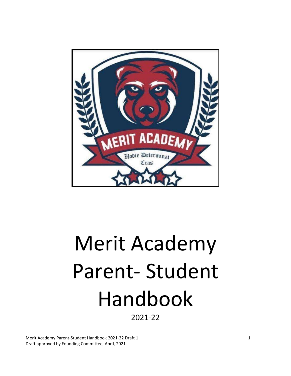

# Merit Academy Parent- Student Handbook

2021-22

Merit Academy Parent-Student Handbook 2021-22 Draft 1 1 Draft approved by Founding Committee, April, 2021.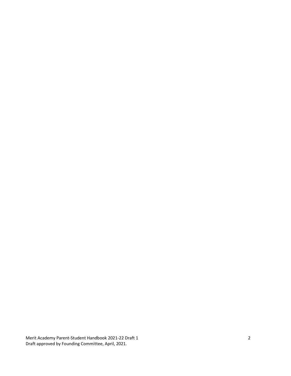Merit Academy Parent -Student Handbook 2021 -22 Draft 1 Draft approved by Founding Committee, April, 2021.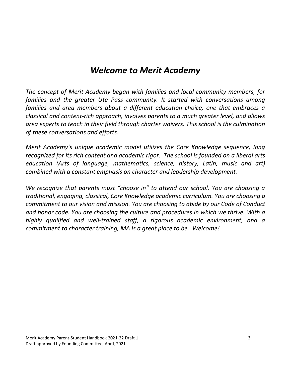### *Welcome to Merit Academy*

*The concept of Merit Academy began with families and local community members, for*  families and the greater Ute Pass community. It started with conversations among *families and area members about a different education choice, one that embraces a classical and content-rich approach, involves parents to a much greater level, and allows area experts to teach in their field through charter waivers. This school is the culmination of these conversations and efforts.*

*Merit Academy's unique academic model utilizes the Core Knowledge sequence, long recognized for its rich content and academic rigor. The school is founded on a liberal arts education (Arts of language, mathematics, science, history, Latin, music and art) combined with a constant emphasis on character and leadership development.*

*We recognize that parents must "choose in" to attend our school. You are choosing a traditional, engaging, classical, Core Knowledge academic curriculum. You are choosing a commitment to our vision and mission. You are choosing to abide by our Code of Conduct and honor code. You are choosing the culture and procedures in which we thrive. With a highly qualified and well-trained staff, a rigorous academic environment, and a commitment to character training, MA is a great place to be. Welcome!*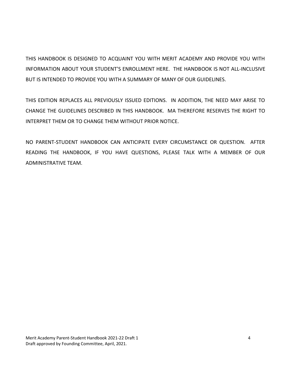THIS HANDBOOK IS DESIGNED TO ACQUAINT YOU WITH MERIT ACADEMY AND PROVIDE YOU WITH INFORMATION ABOUT YOUR STUDENT'S ENROLLMENT HERE. THE HANDBOOK IS NOT ALL-INCLUSIVE BUT IS INTENDED TO PROVIDE YOU WITH A SUMMARY OF MANY OF OUR GUIDELINES.

THIS EDITION REPLACES ALL PREVIOUSLY ISSUED EDITIONS. IN ADDITION, THE NEED MAY ARISE TO CHANGE THE GUIDELINES DESCRIBED IN THIS HANDBOOK. MA THEREFORE RESERVES THE RIGHT TO INTERPRET THEM OR TO CHANGE THEM WITHOUT PRIOR NOTICE.

NO PARENT-STUDENT HANDBOOK CAN ANTICIPATE EVERY CIRCUMSTANCE OR QUESTION. AFTER READING THE HANDBOOK, IF YOU HAVE QUESTIONS, PLEASE TALK WITH A MEMBER OF OUR ADMINISTRATIVE TEAM.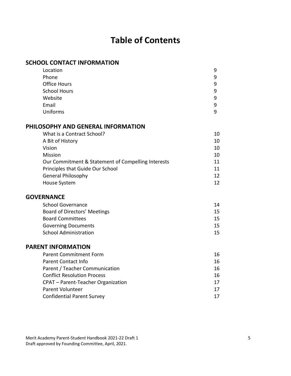### **Table of Contents**

#### **SCHOOL CONTACT INFORMATION**

| Location            | 9 |
|---------------------|---|
| Phone               | 9 |
| <b>Office Hours</b> | 9 |
| <b>School Hours</b> | 9 |
| Website             | 9 |
| Email               | 9 |
| Uniforms            | q |

#### **PHILOSOPHY AND GENERAL INFORMATION**

| What is a Contract School?                         | 10 |
|----------------------------------------------------|----|
| A Bit of History                                   | 10 |
| Vision                                             | 10 |
| Mission                                            | 10 |
| Our Commitment & Statement of Compelling Interests |    |
| Principles that Guide Our School                   | 11 |
| <b>General Philosophy</b>                          | 12 |
| House System                                       | 12 |

#### **GOVERNANCE**

| <b>School Governance</b>     | 14 |
|------------------------------|----|
| Board of Directors' Meetings | 15 |
| <b>Board Committees</b>      | 15 |
| <b>Governing Documents</b>   | 15 |
| <b>School Administration</b> | 15 |

#### **PARENT INFORMATION**

| 16 |
|----|
| 16 |
| 16 |
| 16 |
| 17 |
| 17 |
| 17 |
|    |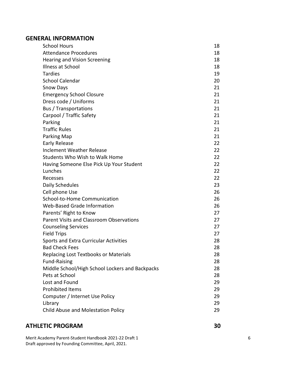#### **GENERAL INFORMATION**

| <b>School Hours</b>                             | 18 |
|-------------------------------------------------|----|
| <b>Attendance Procedures</b>                    | 18 |
| Hearing and Vision Screening                    | 18 |
| Illness at School                               | 18 |
| <b>Tardies</b>                                  | 19 |
| <b>School Calendar</b>                          | 20 |
| <b>Snow Days</b>                                | 21 |
| <b>Emergency School Closure</b>                 | 21 |
| Dress code / Uniforms                           | 21 |
| Bus / Transportations                           | 21 |
| Carpool / Traffic Safety                        | 21 |
| Parking                                         | 21 |
| <b>Traffic Rules</b>                            | 21 |
| Parking Map                                     | 21 |
| Early Release                                   | 22 |
| <b>Inclement Weather Release</b>                | 22 |
| Students Who Wish to Walk Home                  | 22 |
| Having Someone Else Pick Up Your Student        | 22 |
| Lunches                                         | 22 |
| Recesses                                        | 22 |
| Daily Schedules                                 | 23 |
| Cell phone Use                                  | 26 |
| School-to-Home Communication                    | 26 |
| <b>Web-Based Grade Information</b>              | 26 |
| Parents' Right to Know                          | 27 |
| <b>Parent Visits and Classroom Observations</b> | 27 |
| <b>Counseling Services</b>                      | 27 |
| <b>Field Trips</b>                              | 27 |
| Sports and Extra Curricular Activities          | 28 |
| <b>Bad Check Fees</b>                           | 28 |
| Replacing Lost Textbooks or Materials           | 28 |
| <b>Fund-Raising</b>                             | 28 |
| Middle School/High School Lockers and Backpacks | 28 |
| Pets at School                                  | 28 |
| Lost and Found                                  | 29 |
| <b>Prohibited Items</b>                         | 29 |
| Computer / Internet Use Policy                  | 29 |
| Library                                         | 29 |
| Child Abuse and Molestation Policy              | 29 |
|                                                 |    |

#### **ATHLETIC PROGRAM 30**

Merit Academy Parent-Student Handbook 2021-22 Draft 1 6 6 Draft approved by Founding Committee, April, 2021.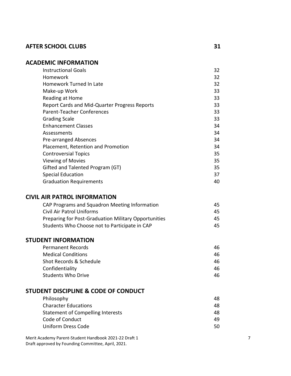#### **AFTER SCHOOL CLUBS 31**

| 32 |
|----|
| 32 |
| 32 |
| 33 |
| 33 |
| 33 |
| 33 |
| 33 |
| 34 |
| 34 |
| 34 |
| 34 |
| 35 |
| 35 |
| 35 |
| 37 |
| 40 |
|    |

#### **CIVIL AIR PATROL INFORMATION**

| CAP Programs and Squadron Meeting Information        | 45 |
|------------------------------------------------------|----|
| Civil Air Patrol Uniforms                            | 45 |
| Preparing for Post-Graduation Military Opportunities | 45 |
| Students Who Choose not to Participate in CAP        | 45 |

#### **STUDENT INFORMATION**

| Permanent Records         | 46 |
|---------------------------|----|
| <b>Medical Conditions</b> | 46 |
| Shot Records & Schedule   | 46 |
| Confidentiality           | 46 |
| Students Who Drive        | 46 |

#### **STUDENT DISCIPLINE & CODE OF CONDUCT**

| Philosophy                        | 48  |
|-----------------------------------|-----|
| <b>Character Educations</b>       | 48  |
| Statement of Compelling Interests | 48  |
| Code of Conduct                   | 49  |
| Uniform Dress Code                | 50. |

Merit Academy Parent-Student Handbook 2021-22 Draft 1 7 Draft approved by Founding Committee, April, 2021.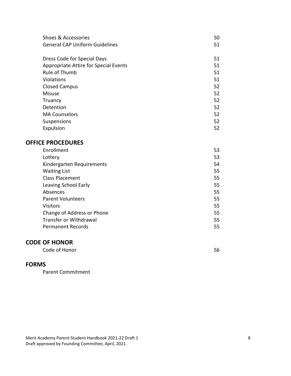| Shoes & Accessories                   | 50 |
|---------------------------------------|----|
| <b>General CAP Uniform Guidelines</b> | 51 |
|                                       |    |
| Dress Code for Special Days           | 51 |
| Appropriate Attire for Special Events | 51 |
| Rule of Thumb                         | 51 |
| Violations                            | 51 |
| <b>Closed Campus</b>                  | 52 |
| Misuse                                | 52 |
| Truancy                               | 52 |
| Detention                             | 52 |
| <b>MA Counselors</b>                  | 52 |
| Suspensions                           | 52 |
| Expulsion                             | 52 |

#### **OFFICE PROCEDURES**

| Enrollment                 | 53 |
|----------------------------|----|
| Lottery                    | 53 |
| Kindergarten Requirements  | 54 |
| <b>Waiting List</b>        | 55 |
| <b>Class Placement</b>     | 55 |
| Leaving School Early       | 55 |
| Absences                   | 55 |
| <b>Parent Volunteers</b>   | 55 |
| <b>Visitors</b>            | 55 |
| Change of Address or Phone | 55 |
| Transfer or Withdrawal     | 55 |
| <b>Permanent Records</b>   | 55 |
|                            |    |

#### **CODE OF HONOR**

Code of Honor 56

#### **FORMS**

Parent Commitment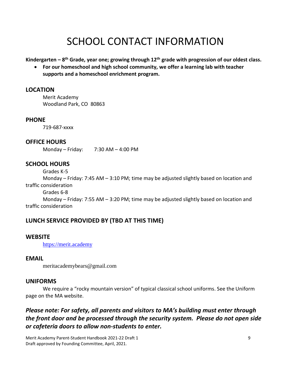# SCHOOL CONTACT INFORMATION

**Kindergarten – 8 th Grade, year one; growing through 12th grade with progression of our oldest class.** 

• **For our homeschool and high school community, we offer a learning lab with teacher supports and a homeschool enrichment program.**

#### **LOCATION**

Merit Academy Woodland Park, CO 80863

#### **PHONE**

719-687-xxxx

#### **OFFICE HOURS**

Monday – Friday: 7:30 AM – 4:00 PM

#### **SCHOOL HOURS**

Grades K-5

Monday – Friday: 7:45 AM – 3:10 PM; time may be adjusted slightly based on location and traffic consideration

Grades 6-8

Monday – Friday: 7:55 AM – 3:20 PM; time may be adjusted slightly based on location and traffic consideration

#### **LUNCH SERVICE PROVIDED BY (TBD AT THIS TIME)**

#### **WEBSITE**

[https://merit.academy](https://merit.academybears.wixsite.com/info)

#### **EMAIL**

meritacademybears@gmail.com

#### **UNIFORMS**

We require a "rocky mountain version" of typical classical school uniforms. See the Uniform page on the MA website.

#### *Please note: For safety, all parents and visitors to MA's building must enter through the front door and be processed through the security system. Please do not open side or cafeteria doors to allow non-students to enter.*

Merit Academy Parent-Student Handbook 2021-22 Draft 1 9 Draft approved by Founding Committee, April, 2021.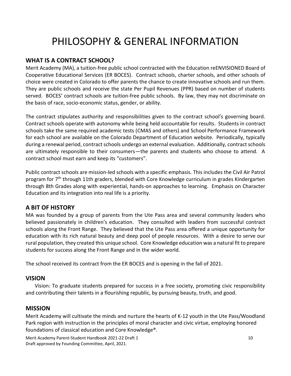# PHILOSOPHY & GENERAL INFORMATION

#### **WHAT IS A CONTRACT SCHOOL?**

Merit Academy (MA), a tuition-free public school contracted with the Education reENVISIONED Board of Cooperative Educational Services (ER BOCES). Contract schools, charter schools, and other schools of choice were created in Colorado to offer parents the chance to create innovative schools and run them. They are public schools and receive the state Per Pupil Revenues (PPR) based on number of students served. BOCES' contract schools are tuition-free public schools. By law, they may not discriminate on the basis of race, socio-economic status, gender, or ability.

The contract stipulates authority and responsibilities given to the contract school's governing board. Contract schools operate with autonomy while being held accountable for results. Students in contract schools take the same required academic tests (CMAS and others) and School Performance Framework for each school are available on the Colorado Department of Education website. Periodically, typically during a renewal period, contract schools undergo an external evaluation. Additionally, contract schools are ultimately responsible to their consumers—the parents and students who choose to attend. A contract school must earn and keep its "customers".

Public contract schools are mission-led schools with a specific emphasis. This includes the Civil Air Patrol program for  $7<sup>th</sup>$  through 11th graders, blended with Core Knowledge curriculum in grades Kindergarten through 8th Grades along with experiential, hands-on approaches to learning. Emphasis on Character Education and its integration into real life is a priority.

#### **A BIT OF HISTORY**

MA was founded by a group of parents from the Ute Pass area and several community leaders who believed passionately in children's education. They consulted with leaders from successful contract schools along the Front Range. They believed that the Ute Pass area offered a unique opportunity for education with its rich natural beauty and deep pool of people resources. With a desire to serve our rural population, they created this unique school. Core Knowledge education was a natural fit to prepare students for success along the Front Range and in the wider world.

The school received its contract from the ER BOCES and is opening in the fall of 2021.

#### **VISION**

 Vision: To graduate students prepared for success in a free society, promoting civic responsibility and contributing their talents in a flourishing republic, by pursuing beauty, truth, and good.

#### **MISSION**

Merit Academy will cultivate the minds and nurture the hearts of K-12 youth in the Ute Pass/Woodland Park region with instruction in the principles of moral character and civic virtue, employing honored foundations of classical education and Core Knowledge®.

Merit Academy Parent-Student Handbook 2021-22 Draft 1 10 Draft approved by Founding Committee, April, 2021.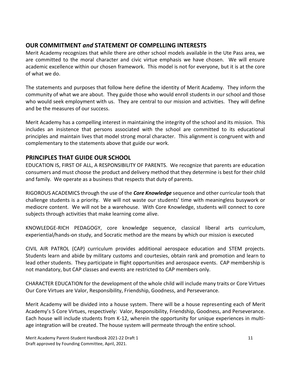#### **OUR COMMITMENT** *and* **STATEMENT OF COMPELLING INTERESTS**

Merit Academy recognizes that while there are other school models available in the Ute Pass area, we are committed to the moral character and civic virtue emphasis we have chosen. We will ensure academic excellence within our chosen framework. This model is not for everyone, but it is at the core of what we do.

The statements and purposes that follow here define the identity of Merit Academy. They inform the community of what we are about. They guide those who would enroll students in our school and those who would seek employment with us. They are central to our mission and activities. They will define and be the measures of our success.

Merit Academy has a compelling interest in maintaining the integrity of the school and its mission. This includes an insistence that persons associated with the school are committed to its educational principles and maintain lives that model strong moral character. This alignment is congruent with and complementary to the statements above that guide our work.

#### **PRINCIPLES THAT GUIDE OUR SCHOOL**

EDUCATION IS, FIRST OF ALL, A RESPONSIBILITY OF PARENTS. We recognize that parents are education consumers and must choose the product and delivery method that they determine is best for their child and family. We operate as a business that respects that duty of parents.

RIGOROUS ACADEMICS through the use of the *Core Knowledge* sequence and other curricular tools that challenge students is a priority. We will not waste our students' time with meaningless busywork or mediocre content. We will not be a warehouse. With Core Knowledge, students will connect to core subjects through activities that make learning come alive.

KNOWLEDGE-RICH PEDAGOGY, core knowledge sequence, classical liberal arts curriculum, experiential/hands-on study, and Socratic method are the means by which our mission is executed

CIVIL AIR PATROL (CAP) curriculum provides additional aerospace education and STEM projects. Students learn and abide by military customs and courtesies, obtain rank and promotion and learn to lead other students. They participate in flight opportunities and aerospace events. CAP membership is not mandatory, but CAP classes and events are restricted to CAP members only.

CHARACTER EDUCATION for the development of the whole child will include many traits or Core Virtues Our Core Virtues are Valor, Responsibility, Friendship, Goodness, and Perseverance.

Merit Academy will be divided into a house system. There will be a house representing each of Merit Academy's 5 Core Virtues, respectively: Valor, Responsibility, Friendship, Goodness, and Perseverance. Each house will include students from K-12, wherein the opportunity for unique experiences in multiage integration will be created. The house system will permeate through the entire school.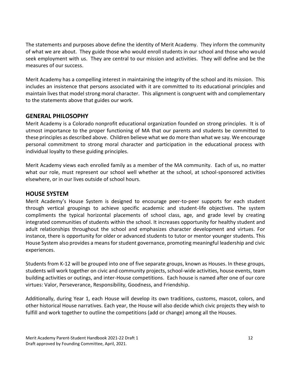The statements and purposes above define the identity of Merit Academy. They inform the community of what we are about. They guide those who would enroll students in our school and those who would seek employment with us. They are central to our mission and activities. They will define and be the measures of our success.

Merit Academy has a compelling interest in maintaining the integrity of the school and its mission. This includes an insistence that persons associated with it are committed to its educational principles and maintain lives that model strong moral character. This alignment is congruent with and complementary to the statements above that guides our work.

#### **GENERAL PHILOSOPHY**

Merit Academy is a Colorado nonprofit educational organization founded on strong principles. It is of utmost importance to the proper functioning of MA that our parents and students be committed to these principles as described above. Children believe what we do more than what we say. We encourage personal commitment to strong moral character and participation in the educational process with individual loyalty to these guiding principles.

Merit Academy views each enrolled family as a member of the MA community. Each of us, no matter what our role, must represent our school well whether at the school, at school-sponsored activities elsewhere, or in our lives outside of school hours.

#### **HOUSE SYSTEM**

Merit Academy's House System is designed to encourage peer-to-peer supports for each student through vertical groupings to achieve specific academic and student-life objectives. The system compliments the typical horizontal placements of school class, age, and grade level by creating integrated communities of students within the school. It increases opportunity for healthy student and adult relationships throughout the school and emphasizes character development and virtues. For instance, there is opportunity for older or advanced students to tutor or mentor younger students. This House System also provides a means for student governance, promoting meaningful leadership and civic experiences.

Students from K-12 will be grouped into one of five separate groups, known as Houses. In these groups, students will work together on civic and community projects, school-wide activities, house events, team building activities or outings, and inter-House competitions. Each house is named after one of our core virtues: Valor, Perseverance, Responsibility, Goodness, and Friendship.

Additionally, during Year 1, each House will develop its own traditions, customs, mascot, colors, and other historical House narratives. Each year, the House will also decide which civic projects they wish to fulfill and work together to outline the competitions (add or change) among all the Houses.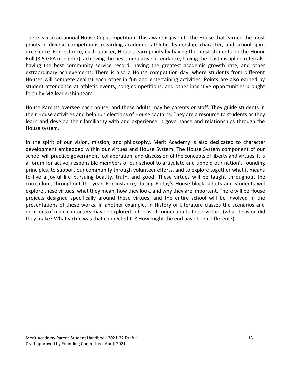There is also an annual House Cup competition. This award is given to the House that earned the most points in diverse competitions regarding academic, athletic, leadership, character, and school-spirit excellence. For instance, each quarter, Houses earn points by having the most students on the Honor Roll (3.5 GPA or higher), achieving the best cumulative attendance, having the least discipline referrals, having the best community service record, having the greatest academic growth rate, and other extraordinary achievements. There is also a House competition day, where students from different Houses will compete against each other in fun and entertaining activities. Points are also earned by student attendance at athletic events, song competitions, and other incentive opportunities brought forth by MA leadership team.

House Parents oversee each house, and these adults may be parents or staff. They guide students in their House activities and help run elections of House captains. They are a resource to students as they learn and develop their familiarity with and experience in governance and relationships through the House system.

In the spirit of our vision, mission, and philosophy, Merit Academy is also dedicated to character development embedded within our virtues and House System. The House System component of our school will practice government, collaboration, and discussion of the concepts of liberty and virtues. It is a forum for active, responsible members of our school to articulate and uphold our nation's founding principles, to support our community through volunteer efforts, and to explore together what it means to live a joyful life pursuing beauty, truth, and good. These virtues will be taught throughout the curriculum, throughout the year. For instance, during Friday's House block, adults and students will explore these virtues, what they mean, how they look, and why they are important. There will be House projects designed specifically around these virtues, and the entire school will be involved in the presentations of these works. In another example, in History or Literature classes the scenarios and decisions of main characters may be explored in terms of connection to these virtues (what decision did they make? What virtue was that connected to? How might the end have been different?)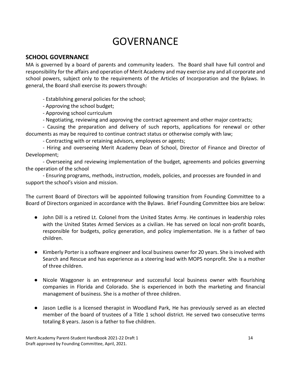### **GOVERNANCE**

#### **SCHOOL GOVERNANCE**

MA is governed by a board of parents and community leaders. The Board shall have full control and responsibility for the affairs and operation of Merit Academy and may exercise any and all corporate and school powers, subject only to the requirements of the Articles of Incorporation and the Bylaws. In general, the Board shall exercise its powers through:

- Establishing general policies for the school;

- Approving the school budget;
- Approving school curriculum
- Negotiating, reviewing and approving the contract agreement and other major contracts;

- Causing the preparation and delivery of such reports, applications for renewal or other documents as may be required to continue contract status or otherwise comply with law;

- Contracting with or retaining advisors, employees or agents;

- Hiring and overseeing Merit Academy Dean of School, Director of Finance and Director of Development;

- Overseeing and reviewing implementation of the budget, agreements and policies governing the operation of the school

- Ensuring programs, methods, instruction, models, policies, and processes are founded in and support the school's vision and mission.

The current Board of Directors will be appointed following transition from Founding Committee to a Board of Directors organized in accordance with the Bylaws. Brief Founding Committee bios are below:

- John Dill is a retired Lt. Colonel from the United States Army. He continues in leadership roles with the United States Armed Services as a civilian. He has served on local non-profit boards, responsible for budgets, policy generation, and policy implementation. He is a father of two children.
- Kimberly Porter is a software engineer and local business owner for 20 years. She is involved with Search and Rescue and has experience as a steering lead with MOPS nonprofit. She is a mother of three children.
- Nicole Waggoner is an entrepreneur and successful local business owner with flourishing companies in Florida and Colorado. She is experienced in both the marketing and financial management of business. She is a mother of three children.
- Jason Ledlie is a licensed therapist in Woodland Park, He has previously served as an elected member of the board of trustees of a Title 1 school district. He served two consecutive terms totaling 8 years. Jason is a father to five children.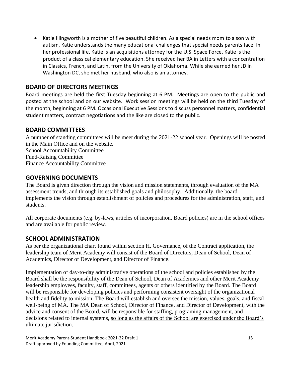• Katie Illingworth is a mother of five beautiful children. As a special needs mom to a son with autism, Katie understands the many educational challenges that special needs parents face. In her professional life, Katie is an acquisitions attorney for the U.S. Space Force. Katie is the product of a classical elementary education. She received her BA in Letters with a concentration in Classics, French, and Latin, from the University of Oklahoma. While she earned her JD in Washington DC, she met her husband, who also is an attorney.

#### **BOARD OF DIRECTORS MEETINGS**

Board meetings are held the first Tuesday beginning at 6 PM. Meetings are open to the public and posted at the school and on our website. Work session meetings will be held on the third Tuesday of the month, beginning at 6 PM. Occasional Executive Sessions to discuss personnel matters, confidential student matters, contract negotiations and the like are closed to the public.

#### **BOARD COMMITTEES**

A number of standing committees will be meet during the 2021-22 school year. Openings will be posted in the Main Office and on the website.

School Accountability Committee Fund-Raising Committee Finance Accountability Committee

#### **GOVERNING DOCUMENTS**

The Board is given direction through the vision and mission statements, through evaluation of the MA assessment trends, and through its established goals and philosophy. Additionally, the board implements the vision through establishment of policies and procedures for the administration, staff, and students.

All corporate documents (e.g. by-laws, articles of incorporation, Board policies) are in the school offices and are available for public review.

#### **SCHOOL ADMINISTRATION**

As per the organizational chart found within section H. Governance, of the Contract application, the leadership team of Merit Academy will consist of the Board of Directors, Dean of School, Dean of Academics, Director of Development, and Director of Finance.

Implementation of day-to-day administrative operations of the school and policies established by the Board shall be the responsibility of the Dean of School, Dean of Academics and other Merit Academy leadership employees, faculty, staff, committees, agents or others identified by the Board. The Board will be responsible for developing policies and performing consistent oversight of the organizational health and fidelity to mission. The Board will establish and oversee the mission, values, goals, and fiscal well-being of MA. The MA Dean of School, Director of Finance, and Director of Development, with the advice and consent of the Board, will be responsible for staffing, programing management, and decisions related to internal systems, so long as the affairs of the School are exercised under the Board's ultimate jurisdiction.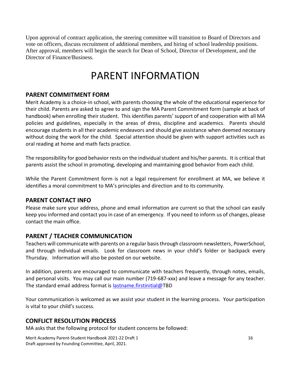Upon approval of contract application, the steering committee will transition to Board of Directors and vote on officers, discuss recruitment of additional members, and hiring of school leadership positions. After approval, members will begin the search for Dean of School, Director of Development, and the Director of Finance/Business.

### PARENT INFORMATION

#### **PARENT COMMITMENT FORM**

Merit Academy is a choice-in school, with parents choosing the whole of the educational experience for their child. Parents are asked to agree to and sign the MA Parent Commitment form (sample at back of handbook) when enrolling their student. This identifies parents' support of and cooperation with all MA policies and guidelines, especially in the areas of dress, discipline and academics. Parents should encourage students in all their academic endeavors and should give assistance when deemed necessary without doing the work for the child. Special attention should be given with support activities such as oral reading at home and math facts practice.

The responsibility for good behavior rests on the individual student and his/her parents. It is critical that parents assist the school in promoting, developing and maintaining good behavior from each child.

While the Parent Commitment form is not a legal requirement for enrollment at MA, we believe it identifies a moral commitment to MA's principles and direction and to its community.

#### **PARENT CONTACT INFO**

Please make sure your address, phone and email information are current so that the school can easily keep you informed and contact you in case of an emergency. If you need to inform us of changes, please contact the main office.

#### **PARENT / TEACHER COMMUNICATION**

Teachers will communicate with parents on a regular basis through classroom newsletters, PowerSchool, and through individual emails. Look for classroom news in your child's folder or backpack every Thursday. Information will also be posted on our website.

In addition, parents are encouraged to communicate with teachers frequently, through notes, emails, and personal visits. You may call our main number (719-687-xxx) and leave a message for any teacher. The standard email address format is [lastname.firstinitial@T](about:blank)BD

Your communication is welcomed as we assist your student in the learning process. Your participation is vital to your child's success.

#### **CONFLICT RESOLUTION PROCESS**

MA asks that the following protocol for student concerns be followed:

Merit Academy Parent-Student Handbook 2021-22 Draft 1 16 16 16 17 18 16 16 17 18 16 16 17 18 16 16 17 18 16 17 Draft approved by Founding Committee, April, 2021.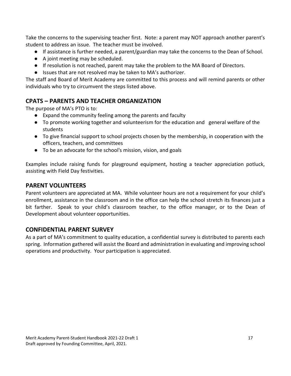Take the concerns to the supervising teacher first. Note: a parent may NOT approach another parent's student to address an issue. The teacher must be involved.

- If assistance is further needed, a parent/guardian may take the concerns to the Dean of School.
- A joint meeting may be scheduled.
- If resolution is not reached, parent may take the problem to the MA Board of Directors.
- Issues that are not resolved may be taken to MA's authorizer.

The staff and Board of Merit Academy are committed to this process and will remind parents or other individuals who try to circumvent the steps listed above.

#### **CPATS – PARENTS AND TEACHER ORGANIZATION**

The purpose of MA's PTO is to:

- Expand the community feeling among the parents and faculty
- To promote working together and volunteerism for the education and general welfare of the students
- To give financial support to school projects chosen by the membership, in cooperation with the officers, teachers, and committees
- To be an advocate for the school's mission, vision, and goals

Examples include raising funds for playground equipment, hosting a teacher appreciation potluck, assisting with Field Day festivities.

#### **PARENT VOLUNTEERS**

Parent volunteers are appreciated at MA. While volunteer hours are not a requirement for your child's enrollment, assistance in the classroom and in the office can help the school stretch its finances just a bit farther. Speak to your child's classroom teacher, to the office manager, or to the Dean of Development about volunteer opportunities.

#### **CONFIDENTIAL PARENT SURVEY**

As a part of MA's commitment to quality education, a confidential survey is distributed to parents each spring. Information gathered will assist the Board and administration in evaluating and improving school operations and productivity. Your participation is appreciated.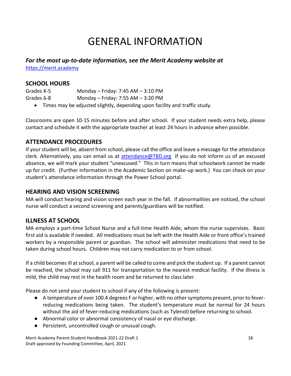### GENERAL INFORMATION

#### *For the most up-to-date information, see the Merit Academy website at*  [https://merit.academy](https://merit.academy/)

#### **SCHOOL HOURS**

Grades K-5 Monday – Friday: 7:45 AM – 3:10 PM Grades 6-8 Monday – Friday: 7:55 AM – 3:20 PM

• Times may be adjusted slightly, depending upon facility and traffic study.

Classrooms are open 10-15 minutes before and after school. If your student needs extra help, please contact and schedule it with the appropriate teacher at least 24 hours in advance when possible.

#### **ATTENDANCE PROCEDURES**

If your student will be, absent from school, please call the office and leave a message for the attendance clerk. Alternatively, you can email us at [attendance@TBD.org](mailto:attendance@TBD.org) If you do not inform us of an excused absence, we will mark your student "unexcused." This in turn means that schoolwork cannot be made up for credit. (Further information in the Academic Section on make-up work.) You can check on your student's attendance information through the Power School portal.

#### **HEARING AND VISION SCREENING**

MA will conduct hearing and vision screen each year in the fall. If abnormalities are noticed, the school nurse will conduct a second screening and parents/guardians will be notified.

#### **ILLNESS AT SCHOOL**

MA employs a part-time School Nurse and a full-time Health Aide, whom the nurse supervises. Basic first aid is available if needed. All medications must be left with the Health Aide or front office's trained workers by a responsible parent or guardian. The school will administer medications that need to be taken during school hours. Children may not carry medication to or from school.

If a child becomes ill at school, a parent will be called to come and pick the student up. If a parent cannot be reached, the school may call 911 for transportation to the nearest medical facility. If the illness is mild, the child may rest in the health room and be returned to class later.

Please do not send your student to school if any of the following is present:

- A temperature of over 100.4 degrees F or higher, with no other symptoms present, prior to feverreducing medications being taken. The student's temperature must be normal for 24 hours without the aid of fever-reducing medications (such as Tylenol) before returning to school.
- Abnormal color or abnormal consistency of nasal or eye discharge.
- Persistent, uncontrolled cough or unusual cough.

Merit Academy Parent-Student Handbook 2021-22 Draft 1 1888 1898 1899 18 Draft approved by Founding Committee, April, 2021.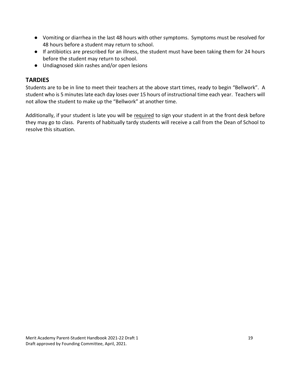- Vomiting or diarrhea in the last 48 hours with other symptoms. Symptoms must be resolved for 48 hours before a student may return to school.
- If antibiotics are prescribed for an illness, the student must have been taking them for 24 hours before the student may return to school.
- Undiagnosed skin rashes and/or open lesions

#### **TARDIES**

Students are to be in line to meet their teachers at the above start times, ready to begin "Bellwork". A student who is 5 minutes late each day loses over 15 hours of instructional time each year. Teachers will not allow the student to make up the "Bellwork" at another time.

Additionally, if your student is late you will be required to sign your student in at the front desk before they may go to class. Parents of habitually tardy students will receive a call from the Dean of School to resolve this situation.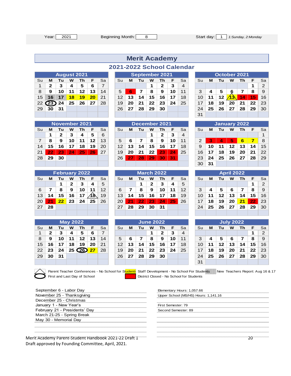#### **Merit Academy 2021-2022 School Calendar**

| <b>August 2021</b> |              |           |    |    |    |    |
|--------------------|--------------|-----------|----|----|----|----|
| Su                 | м            | Τu        | w  | Th | F  | Sa |
| 1                  | $\mathbf{2}$ | 3         | 4  | 5  | 6  | 7  |
| 8                  | 9            | 10        | 11 | 12 | 13 | 14 |
| 15                 |              | $16$ $17$ | 18 | 19 | 20 | 21 |
| 22                 | $\boxed{23}$ | 24 (      | 25 | 26 | 27 | 28 |
| 29                 | 30           | 31        |    |    |    |    |
|                    |              |           |    |    |    |    |

|    |    |              |    | November 2021 |    |    |
|----|----|--------------|----|---------------|----|----|
| Su | м  | Τu           | w  | Тh            | F  | Sa |
|    | 1  | $\mathbf{2}$ | 3  | 4             | 5  | 6  |
| 7  | 8  | 9            | 10 | 11            | 12 | 13 |
| 14 | 15 | 16           | 17 | 18            | 19 | 20 |
| 21 | 22 | 23           | 24 | 25            | 26 | 27 |
| 28 | 29 | 30           |    |               |    |    |
|    |    |              |    |               |    |    |

|    |    | <b>February 2022</b> |                |    |      |    |
|----|----|----------------------|----------------|----|------|----|
| Su | м  | Tu                   | w              | Тh | F    | Sa |
|    |    | 1                    | $\overline{2}$ | -3 | 4    | 5  |
| 6  | 7  | 8                    | 9              | 10 | 11   | 12 |
| 13 | 14 | 15                   | 16             | 17 | 19   | 19 |
| 20 | 21 | 22                   | 23             | 24 | - 25 | 26 |
| 27 | 28 |                      |                |    |      |    |
|    |    |                      |                |    |      |    |

|    |    |    | <b>May 2022</b> |    |    |    |    |    |    | <b>June 2022</b> |    |    |    |    |    |    | <b>July 2022</b> |    |    |               |
|----|----|----|-----------------|----|----|----|----|----|----|------------------|----|----|----|----|----|----|------------------|----|----|---------------|
| Su | м  | Τu | w               | Тh | F  | Sa | Su | м  | Τu | w                | Τh | Е  | Sa | Su | м  | Tu | w                | Τh | F  | .Sa           |
|    | 2  | з  | 4               | 5  | 6  | 7  |    |    |    |                  | 2  | З  | 4  |    |    |    |                  |    |    | $\mathcal{P}$ |
| 8  | 9  | 10 | 11              | 12 | 13 | 14 | 5  | 6  |    | 8                | 9  | 10 | 11 | 3  | 4  | 5  | 6                |    | 8  | -9            |
| 15 | 16 | 17 | 18              | 19 | 20 | 21 | 12 | 13 | 14 | 15               | 16 | 17 | 18 | 10 |    | 12 | 13               | 14 | 15 | 16            |
| 22 | 23 | 24 | 25              | 26 |    | 28 | 19 | 20 | 21 | 22               | 23 | 24 | 25 | 17 | 18 | 19 | 20               | 21 | 22 | 23            |
| 29 | 30 | 31 |                 |    |    |    | 26 | 27 | 28 | 29               | 30 |    |    | 24 | 25 | 26 | 27               | 28 | 29 | 30            |
|    |    |    |                 |    |    |    |    |    |    |                  |    |    |    | 31 |    |    |                  |    |    |               |

|                |              | 1.9999               |    |    |    |    |    |    |    |    |               |    |    |                 |    | ---------- |    |                     |    |                |
|----------------|--------------|----------------------|----|----|----|----|----|----|----|----|---------------|----|----|-----------------|----|------------|----|---------------------|----|----------------|
| Su             | м            | Τu                   | w  | Τh | F  | Sa | Su | м  | Tu | w  | Τh            | F  | Sa | Su              | М  | Tu         | w  | Τh                  | F  | Sa             |
| 1              | $\mathbf{2}$ | з                    |    | 5  | 6  |    |    |    |    |    | 2             | 3  | 4  |                 |    |            |    |                     |    | $\overline{2}$ |
| 8              | 9            | 10                   |    | 12 | 13 | 14 | 5  | 6  |    | 8  | 9             | 10 | 11 | 3               | 4  | 5          | 6  |                     | 8  | 9              |
| 15             | 16           | 17                   | 18 | 19 | 20 | 21 | 12 | 13 | 14 | 15 | 16            | 17 | 18 | 10 <sup>°</sup> | 11 | 12         |    | 4                   | 15 | 16             |
| 22             | 23           | 24                   | 25 | 26 | 27 | 28 | 19 | 20 | 21 | 22 | 23            | 24 | 25 | 17              | 18 | 19         | 20 | 21                  | 22 | 23             |
| 29             | 30           | 31                   |    |    |    |    | 26 | 27 | 28 | 29 | 30            |    |    | 24              | 25 | 26         | 27 | 28                  | 29 | 30             |
|                |              |                      |    |    |    |    |    |    |    |    |               |    |    | 31              |    |            |    |                     |    |                |
|                |              |                      |    |    |    |    |    |    |    |    |               |    |    |                 |    |            |    |                     |    |                |
|                |              | <b>November 2021</b> |    |    |    |    |    |    |    |    | December 2021 |    |    |                 |    |            |    | <b>January 2022</b> |    |                |
| Su             | м            | Tu                   | w  | Th | F  | Sa | Su | м  | Tu | w  | Тh            | F  | Sa | Su              | м  | Τu         | w  | Th                  | F  | Sa             |
|                |              | 2                    | з  | 4  | 5  | 6  |    |    |    |    | 2             | З  | 4  |                 |    |            |    |                     |    |                |
| $\overline{7}$ | 8            | 9                    | 10 | 11 | 12 | 13 | 5  | 6  |    | 8  | 9             | 10 | 11 | っ               | 3  | 4          | 5  | 6                   |    | 8              |

| <b>November 2021</b> |    |    |    |    |    |    | December 2021 |    |    |    |    |    |    |    | <b>January 2022</b> |    |  |
|----------------------|----|----|----|----|----|----|---------------|----|----|----|----|----|----|----|---------------------|----|--|
| Τu                   | w  | Тh | F  | Sa | Su | м  | Τu            | w  | Τh | F  | Sa | Su | М  | Τu | w                   | Τh |  |
| 2                    | 3  |    | 5  | 6  |    |    |               |    | 2  | З  | 4  |    |    |    |                     |    |  |
| 9                    | 10 | 11 | 12 | 13 | 5  | 6  |               | 8  | 9  | 10 | 11 | 2  | 3  | 4  | 6                   | 6  |  |
| 16                   |    | 18 | 19 | 20 | 12 | 13 | 14            | 15 | 16 | 17 | 18 | 9  | 10 | 11 | 12                  | 13 |  |
| 23                   | 24 | 25 | 26 | 27 | 19 | 20 | 21            | 22 | 23 | 24 | 25 | 16 | 17 | 18 | 19                  | 20 |  |
| 30                   |    |    |    |    | 26 |    | 28            | 29 | 30 | 31 |    | 23 | 24 | 25 | 26                  | 27 |  |
|                      |    |    |    |    |    |    |               |    |    |    |    | 20 | 24 |    |                     |    |  |

|    |    |    | <b>March 2022</b> |    |    |    |
|----|----|----|-------------------|----|----|----|
| Su | м  | Tu | w                 | Тh | F  | Sa |
|    |    | 1  | 2                 | 3  | 4  | 5  |
| 6  | 7  | 8  | 9                 | 10 | 11 | 12 |
| 13 | 14 | 15 | 16                | 17 | 18 | 19 |
| 20 | 21 | 22 | 23                | 24 | 25 | 26 |
| 27 | 28 | 29 | 30                | 31 |    |    |
|    |    |    |                   |    |    |    |

|      | <b>May 2022</b> |                  |    |    |                 |                 |                 | <b>June 2022</b> |                 |    |                |
|------|-----------------|------------------|----|----|-----------------|-----------------|-----------------|------------------|-----------------|----|----------------|
| Гu   | W               | <b>Th</b>        | -F | Sa | Su              | м               | Tu              | W                | Th              | -F | Sa             |
| 3    | 4               | 5                | 6  |    |                 |                 |                 |                  | $\mathbf{2}$    | 3  | $\overline{A}$ |
| ا 0ا | 11 <sup>1</sup> | 12 <sup>12</sup> | 13 | 14 | 5               | 6               | $\overline{7}$  | 8                | 9               | 10 | 11             |
| 17   | 18              | 19               | 20 | 21 | 12 <sup>1</sup> | 13 <sup>°</sup> | 14              | 15 <sup>1</sup>  | 16 <sup>1</sup> | 17 | 18             |
|      |                 | 24 25 26 27 28   |    |    | 19              | 20              | 21 <sup>1</sup> | $22 \mid 23$     |                 | 24 | 25             |
| 31   |                 |                  |    |    | 26              | 27 <sup>1</sup> | 28              | 29               | 30              |    |                |
|      |                 |                  |    |    |                 |                 |                 |                  |                 |    |                |

|    |              |      |                    |         |    |    |                 |    | <b>Merit Academy</b>  |    |    |    |                           |    |    |    |    |              |             |    |
|----|--------------|------|--------------------|---------|----|----|-----------------|----|-----------------------|----|----|----|---------------------------|----|----|----|----|--------------|-------------|----|
|    |              |      |                    |         |    |    |                 |    |                       |    |    |    |                           |    |    |    |    |              |             |    |
|    |              |      |                    |         |    |    |                 |    |                       |    |    |    | 2021-2022 School Calendar |    |    |    |    |              |             |    |
|    |              |      | <b>August 2021</b> |         |    |    |                 |    | <b>September 2021</b> |    |    |    |                           |    |    |    |    | October 2021 |             |    |
|    |              |      |                    |         |    |    |                 |    |                       |    |    |    |                           |    |    |    |    |              |             |    |
| Su | м            | Τu   | W                  | Th      | F  | Sa | Su              | м  | Tu                    | w  | Th | F  | Sa                        | Su | м  | Tu | w  | Τh           | F           | Sa |
| 1  | $\mathbf{2}$ | 3    | 4                  | 5       | 6  | 7  |                 |    |                       | 1  | 2  | 3  | 4                         |    |    |    |    |              | ٠           | 2  |
| 8  | 9            | 10   | 11                 | $12 \,$ | 13 | 14 | 5               | 6  | 7                     | 8  | 9  | 10 | 11                        | 3  | 4  | 5  | 6  | 7            | 8           | 9  |
| 15 | 16           | ™l7⊳ | 18                 | 19      | 20 | 21 | 12 <sup>2</sup> | 13 | 14                    | 15 | 16 | 17 | 18                        | 10 | 11 | 12 | 13 | 14           | $\sqrt{15}$ | 16 |
| 22 | 23           | 24   | 25                 | 26      | 27 | 28 | 19              | 20 | 21                    | 22 | 23 | 24 | 25                        | 17 | 18 | 19 | 20 | 21           | 22          | 23 |
| 29 | 30           | 31   |                    |         |    |    | 26              | 27 | 28                    | 29 | 30 |    |                           | 24 | 25 | 26 | 27 | 28           | 29          | 30 |
|    |              |      |                    |         |    |    |                 |    |                       |    |    |    |                           | 31 |    |    |    |              |             |    |

|                |    | <b>November 2021</b> |              |    |    |    |    |    |    |    | December 2021     |    |    |    |    |          |                   | January 2022 |    |               |
|----------------|----|----------------------|--------------|----|----|----|----|----|----|----|-------------------|----|----|----|----|----------|-------------------|--------------|----|---------------|
| Su             | м  | Τu                   | w            | Тh | F  | Sa | Su | м  | Tu | w  | Тh                | F  | Sa | Su | м  | Тu       | w                 | Th           | F  | Sa            |
|                | ٠  | 2                    | 3            | 4  | 5  | 6  |    |    |    |    | $\mathbf{2}$      | З  | 4  |    |    |          |                   |              |    |               |
| $\overline{7}$ | 8  | 9                    | 10           | 11 | 12 | 13 | 5  | 6  |    | 8  | 9                 | 10 | 11 | 2  | 3  | $\Delta$ | 5                 | 6            | 7  | 8             |
| 14             | 15 | 16                   | 17           | 18 | 19 | 20 | 12 | 13 | 14 | 15 | 16                | 17 | 18 | 9  | 10 | 11       | 12                | 13           | 14 | 15            |
| 21             | 22 | 23                   | 24           | 25 | 26 | 27 | 19 | 20 | 21 | 22 | 23                | 24 | 25 | 16 | 17 | 18       | 19                | 20           | 21 | 22            |
| 28             | 29 | 30                   |              |    |    |    | 26 | 27 | 28 | 29 | 30                | 31 |    | 23 | 24 | 25       | 26                | 27           | 28 | 29            |
|                |    |                      |              |    |    |    |    |    |    |    |                   |    |    | 30 | 31 |          |                   |              |    |               |
|                |    |                      |              |    |    |    |    |    |    |    |                   |    |    |    |    |          |                   |              |    |               |
|                |    | <b>February 2022</b> |              |    |    |    |    |    |    |    | <b>March 2022</b> |    |    |    |    |          | <b>April 2022</b> |              |    |               |
| Su             | м  | Τu                   | w            | Th | F  | Sa | Su | м  | Tu | w  | Th                | F  | Sa | Su | M  | Tu       | W                 | Th           | F  | Sa            |
|                |    | 1                    | $\mathbf{2}$ | 3  | 4  | 5  |    |    |    | 2  | 3                 | 4  | 5  |    |    |          |                   |              | ٠  | $\mathcal{P}$ |
| 6              |    | 8                    | 9            | 10 | 11 | 12 | 6  |    | 8  | 9  | 10                | 11 | 12 | 3  | 4  |          | 6                 | 7            | 8  | 9             |

|    |    | <b>February 2022</b> |                 |         |    |    |    |    |    |                  | <b>March 2022</b> |    |    |    |    |         | <b>April 2022</b> |    |    |                |
|----|----|----------------------|-----------------|---------|----|----|----|----|----|------------------|-------------------|----|----|----|----|---------|-------------------|----|----|----------------|
| Su | м  | Τu                   | w               | Τh      | F  | Sa | Su | м  | Τu | w                | Τh                | F  | Sa | Su | м  | Τu      | w                 | Τh | F  | Sa             |
|    |    | 1                    | $\mathbf{2}$    | 3       | 4  | 5  |    |    | 1  | 2                | з                 | 4  | 5  |    |    |         |                   |    | 1  | $\overline{2}$ |
| 6  | 7  | 8                    | 9               | 10      | 11 | 12 | 6  | 7  | 8  | 9                | 10                | 11 | 12 | 3  | 4  | 5       | 6                 | 7  | 8  | 9              |
| 13 | 14 | 15                   | 16              | 17      | 18 | 19 | 13 | 14 | 15 | 16               | 17                | 18 | 19 | 10 | 11 | $12 \,$ | 13                | 14 | 15 | 16             |
| 20 | 21 | 22                   | 23              | 24      | 25 | 26 | 20 | 21 | 22 | 23               | 24                | 25 | 26 | 17 | 18 | 19      | 20                | 21 | 22 | 23             |
| 27 | 28 |                      |                 |         |    |    | 27 | 28 | 29 | 30               | 31                |    |    | 24 | 25 | 26      | 27                | 28 | 29 | 30             |
|    |    |                      |                 |         |    |    |    |    |    |                  |                   |    |    |    |    |         |                   |    |    |                |
|    |    |                      |                 |         |    |    |    |    |    |                  |                   |    |    |    |    |         |                   |    |    |                |
|    |    |                      | <b>May 2022</b> |         |    |    |    |    |    | <b>June 2022</b> |                   |    |    |    |    |         | July 2022         |    |    |                |
| Su | м  | Tu                   | w               | Th      | F  | Sa | Su | м  | Tu | w                | Τh                | F  | Sa | Su | M  | Tu      | w                 | Τh | F  | Sa             |
| 1  | 2  | 3                    |                 | 5       | 6  | 7  |    |    |    | ٠                | $\mathbf{2}$      | 3  | 4  |    |    |         |                   |    | 1  | $\overline{2}$ |
| 8  | 9  | 10                   | 1               | $12 \,$ | 13 | 14 | 5  | 6  |    | 8                | 9                 | 10 | 11 | 3  | 4  | 5       | 6                 | 7  | 8  | 9              |

|    |    |                 | <b>July 2022</b>     |                |    |    |
|----|----|-----------------|----------------------|----------------|----|----|
| Su | м  | Tu              | w                    | <b>Th</b>      | F  | Sa |
|    |    |                 |                      |                | 1  | 2  |
| 3  | 4  | $5\phantom{.0}$ | 6                    | $\overline{7}$ | 8  | 9  |
| 10 | 11 |                 | $12 \mid 13$         | 14             | 15 | 16 |
| 17 | 18 | 19              | 20                   | 21             | 22 | 23 |
| 24 | 25 |                 | $26 \mid 27 \mid 28$ |                | 29 | 30 |
| 31 |    |                 |                      |                |    |    |

Parent Teacher Conferences - No School for Students Staff Development - No School For Students New Teachers Report: Aug 16 & 17<br>First and Last Day of School District Closed - No School for Students

|         |         |                |                 |                                                                                                                                |          |                |         |         |         |                        | <b>Merit Academy</b> |          |                                                                        |                     |         |
|---------|---------|----------------|-----------------|--------------------------------------------------------------------------------------------------------------------------------|----------|----------------|---------|---------|---------|------------------------|----------------------|----------|------------------------------------------------------------------------|---------------------|---------|
|         |         |                |                 |                                                                                                                                |          |                |         |         |         |                        |                      |          | 2021-2022 School Calendar                                              |                     |         |
|         |         |                |                 | <b>August 2021</b>                                                                                                             |          |                |         |         |         |                        | September 2021       |          |                                                                        |                     |         |
| Su      | м       | Tu             | W               | Th                                                                                                                             | F        | Sa             | Su      | м       | Tu      | W                      | Th                   | F        | Sa                                                                     | Su                  | м       |
| 1       | 2       | 3              | 4               | 5                                                                                                                              | 6        | $\overline{7}$ |         |         |         | 1                      | $\mathbf{2}$         | 3        | 4                                                                      |                     |         |
| 8       | 9       | 10             | 11              | 12                                                                                                                             | 13       | 14             | 5       | 6       | 7       | 8                      | 9                    | 10       | 11                                                                     | 3                   | 4       |
| 15      | 16      | IZ             | 18              | 19                                                                                                                             | 20       | 21             | 12      | 13      | 14      | 15                     | 16                   | 17       | 18                                                                     | 10                  | 11      |
| 22      | 23      | 24             | 25              | 26                                                                                                                             | 27       | 28             | 19      | 20      | 21      | 22                     | 23                   | 24       | 25                                                                     | 17                  | 18      |
| 29      | 30      | 31             |                 |                                                                                                                                |          |                | 26      | 27      | 28      | 29                     | 30                   |          |                                                                        | 24                  | 25      |
|         |         |                |                 |                                                                                                                                |          |                |         |         |         |                        |                      |          |                                                                        | 31                  |         |
|         |         |                |                 | <b>November 2021</b>                                                                                                           |          |                |         |         |         |                        | December 2021        |          |                                                                        |                     |         |
| Su      | M       | Tu             | W               | Th                                                                                                                             | F        | Sa             | Su      | М       | Tu      | W                      | Th                   | F        | Sa                                                                     | Su                  | M       |
|         | 1       | $\overline{2}$ | 3               | 4                                                                                                                              | 5        | 6              |         |         |         | 1                      | 2                    | 3        | 4                                                                      |                     |         |
| 7<br>14 | 8<br>15 | 9<br>16        | 10<br>17        | 11<br>18                                                                                                                       | 12<br>19 | 13<br>20       | 5<br>12 | 6<br>13 | 7<br>14 | 8<br>15                | 9<br>16              | 10<br>17 | 11<br>18                                                               | $\overline{2}$<br>9 | 3<br>10 |
| 21      | 22      | 23             | 24              | 25                                                                                                                             | 26       | 27             | 19      | 20      | 21      | 22                     | 23                   | 24       | 25                                                                     | 16                  | 17      |
| 28      | 29      | 30             |                 |                                                                                                                                |          |                | 26      | 27      | 28      | 29                     | 30                   | 31       |                                                                        | 23                  | 24      |
|         |         |                |                 |                                                                                                                                |          |                |         |         |         |                        |                      |          |                                                                        | 30                  | 31      |
|         |         |                |                 |                                                                                                                                |          |                |         |         |         |                        |                      |          |                                                                        |                     |         |
|         |         |                |                 | February 2022                                                                                                                  |          |                |         |         |         | <b>March 2022</b><br>W |                      |          |                                                                        |                     |         |
| Su      | М       | Tu<br>1        | W<br>2          | Th<br>3                                                                                                                        | F<br>4   | Sa<br>5        | Su      | М       | Tu<br>1 | 2                      | Τh<br>3              | F<br>4   | Sa<br>5                                                                | Su                  | M       |
| 6       | 7       | 8              | 9               | 10                                                                                                                             | 11       | 12             | 6       | 7       | 8       | 9                      | 10                   | 11       | 12                                                                     | 3                   | 4       |
| 13      | 14      | 15             | 16              | 17                                                                                                                             | 1े8े     | 19             | 13      | 14      | 15      | 16                     | 17                   | 18       | 19                                                                     | 10                  | 11      |
| 20      | 21      | 22             | 23              | 24                                                                                                                             | 25       | 26             | 20      | 21      | 22      | 23                     | 24                   | 25       | 26                                                                     | 17                  | 18      |
| 27      | 28      |                |                 |                                                                                                                                |          |                | 27      | 28      | 29      | 30                     | 31                   |          |                                                                        | 24                  | 25      |
|         |         |                |                 |                                                                                                                                |          |                |         |         |         |                        |                      |          |                                                                        |                     |         |
|         |         |                | <b>May 2022</b> |                                                                                                                                |          |                |         |         |         | <b>June 2022</b>       |                      |          |                                                                        |                     |         |
| Su      | М       | Tu             | W               | Th                                                                                                                             | F        | Sa             | Su      | м       | Tu      | W                      | Th                   | F        | Sa                                                                     | Su                  | M       |
| 1       | 2       | 3              | 4               | 5                                                                                                                              | 6        | $\overline{7}$ |         |         |         | 1                      | $\mathbf{2}$         | 3        | 4                                                                      |                     |         |
| 8       | 9       | 10             | 11              | 12                                                                                                                             | 13       | 14             | 5       | 6       | 7       | 8                      | 9                    | 10       | 11                                                                     | 3                   | 4       |
| 15      | 16      | 17             | 18              | 19                                                                                                                             | 20       | 21             | 12      | 13      | 14      | 15                     | 16                   | 17       | 18                                                                     | 10                  | 11      |
| 22      | 23      | 24             |                 | 25 26 27                                                                                                                       |          | 28             | 19      | 20      | 21      | 22                     | 23                   | 24       | 25                                                                     | 17                  | 18      |
| 29      | 30      | 31             |                 |                                                                                                                                |          |                | 26      | 27      | 28      | 29                     | 30                   |          |                                                                        | 24<br>31            | 25      |
|         |         |                |                 | Parent Teacher Conferences - No School for Students Staff Development - No School For Students<br>First and Last Day of School |          |                |         |         |         |                        |                      |          | District Closed - No School for Students<br>Elementary Hours: 1,057.66 |                     |         |

Merit Academy Parent -Student Handbook 2021 -22 Draft 1 20

| Elementary Hours: 1,057.66           |
|--------------------------------------|
| Upper School (MS/HS) Hours: 1,141.16 |
| First Semester: 79                   |
| Second Semester: 89                  |
|                                      |
|                                      |
|                                      |
|                                      |
|                                      |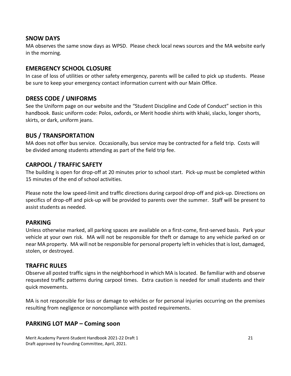#### **SNOW DAYS**

MA observes the same snow days as WPSD. Please check local news sources and the MA website early in the morning.

#### **EMERGENCY SCHOOL CLOSURE**

In case of loss of utilities or other safety emergency, parents will be called to pick up students. Please be sure to keep your emergency contact information current with our Main Office.

#### **DRESS CODE / UNIFORMS**

See the Uniform page on our website and the "Student Discipline and Code of Conduct" section in this handbook. Basic uniform code: Polos, oxfords, or Merit hoodie shirts with khaki, slacks, longer shorts, skirts, or dark, uniform jeans.

#### **BUS / TRANSPORTATION**

MA does not offer bus service. Occasionally, bus service may be contracted for a field trip. Costs will be divided among students attending as part of the field trip fee.

#### **CARPOOL / TRAFFIC SAFETY**

The building is open for drop-off at 20 minutes prior to school start. Pick-up must be completed within 15 minutes of the end of school activities.

Please note the low speed-limit and traffic directions during carpool drop-off and pick-up. Directions on specifics of drop-off and pick-up will be provided to parents over the summer. Staff will be present to assist students as needed.

#### **PARKING**

Unless otherwise marked, all parking spaces are available on a first-come, first-served basis. Park your vehicle at your own risk. MA will not be responsible for theft or damage to any vehicle parked on or near MA property. MA will not be responsible for personal property left in vehicles that is lost, damaged, stolen, or destroyed.

#### **TRAFFIC RULES**

Observe all posted traffic signs in the neighborhood in which MA is located. Be familiar with and observe requested traffic patterns during carpool times. Extra caution is needed for small students and their quick movements.

MA is not responsible for loss or damage to vehicles or for personal injuries occurring on the premises resulting from negligence or noncompliance with posted requirements.

#### **PARKING LOT MAP – Coming soon**

Merit Academy Parent-Student Handbook 2021-22 Draft 1 21 22 2012 2014 12: 21 22 2014 2014 2014 2015 2016 2017 Draft approved by Founding Committee, April, 2021.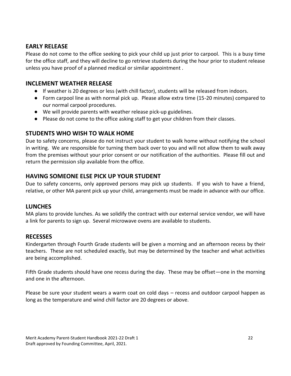#### **EARLY RELEASE**

Please do not come to the office seeking to pick your child up just prior to carpool. This is a busy time for the office staff, and they will decline to go retrieve students during the hour prior to student release unless you have proof of a planned medical or similar appointment .

#### **INCLEMENT WEATHER RELEASE**

- If weather is 20 degrees or less (with chill factor), students will be released from indoors.
- Form carpool line as with normal pick up. Please allow extra time (15-20 minutes) compared to our normal carpool procedures.
- We will provide parents with weather release pick-up guidelines.
- Please do not come to the office asking staff to get your children from their classes.

#### **STUDENTS WHO WISH TO WALK HOME**

Due to safety concerns, please do not instruct your student to walk home without notifying the school in writing. We are responsible for turning them back over to you and will not allow them to walk away from the premises without your prior consent or our notification of the authorities. Please fill out and return the permission slip available from the office.

#### **HAVING SOMEONE ELSE PICK UP YOUR STUDENT**

Due to safety concerns, only approved persons may pick up students. If you wish to have a friend, relative, or other MA parent pick up your child, arrangements must be made in advance with our office.

#### **LUNCHES**

MA plans to provide lunches. As we solidify the contract with our external service vendor, we will have a link for parents to sign up. Several microwave ovens are available to students.

#### **RECESSES**

Kindergarten through Fourth Grade students will be given a morning and an afternoon recess by their teachers. These are not scheduled exactly, but may be determined by the teacher and what activities are being accomplished.

Fifth Grade students should have one recess during the day. These may be offset—one in the morning and one in the afternoon.

Please be sure your student wears a warm coat on cold days – recess and outdoor carpool happen as long as the temperature and wind chill factor are 20 degrees or above.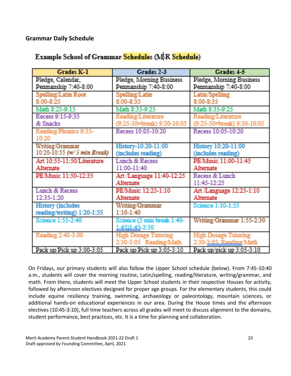#### **Grammar Daily Schedule**

### Example School of Grammar Schedules (MR Schedule)

| <b>Grades K-1</b>                                              | Grades 2-3                                            | Grades 4-5                                            |
|----------------------------------------------------------------|-------------------------------------------------------|-------------------------------------------------------|
| Pledge, Calendar,<br>Penmanship 7:40-8:00                      | Pledge, Morning Business<br>Penmanship 7:40-8:00      | Pledge, Morning Business<br>Penmanship 7:40-8:00      |
| <b>Spelling/Latin Root</b><br>$8:00 - 8:25$                    | <b>Spelling/Latin</b><br>8:00-8:35                    | Latin/Spelling<br>8:00-8:35                           |
| Math 8:25-9:15                                                 | Math 8:35-9:25                                        | Math 8:35-9:25                                        |
| Recess 9:15-9:35<br>& Snacks                                   | Reading/Literature<br>(9:25-30=break) 9:30-10:05      | Reading/Literature<br>(9:25-30=break) 9:30-10:05      |
| Reading/Phonics 9:35-<br>$10 - 20$                             | Recess 10:05-10:20                                    | Recess 10:05-10:20                                    |
| Writing/Grammar<br>$10:20 - \overline{1}0:55$ (w/ 5 min Break) | History-10:20-11:00<br>(includes reading)             | History 10:20-11:00<br>(includes reading)             |
| Art 10:55-11:50/Literature                                     | Lunch & Recess                                        | PE/Music 11:00-11:45                                  |
| Alternate                                                      | 11:00-11:40                                           | <b>Alternate</b>                                      |
| PE/Music 11:50-12:35                                           | Art /Language 11:40-12:25<br><b>Alternate</b>         | Recess & Lunch<br>11:45-12:25                         |
| Lunch & Recess<br>12:35-1:20                                   | PE/Music 12:25-1:10<br>Alternate                      | Art /Language 12:25-1:10<br><b>Alternate</b>          |
| History (includes<br>reading/writing) 1:20-1:55                | Writing/Grammar<br>$1:10-1:40$                        | Science 1:10-1:55                                     |
| Science 1:55-2:40                                              | Science (5 min break 1:40-<br>1:45\1:45-2:30          | Writing/Grammar 1:55-2:30                             |
| Reading 2:40-3:00                                              | <b>High Dosage Tutoring</b><br>2:30-3:05 Reading/Math | <b>High Dosage Tutoring</b><br>2:30-3:05 Reading/Math |
| Pack up/Pick up 3:00-3:05                                      | Pack up/Pick up 3:05-3:10                             | Pack un/pick up 3:05-3:10                             |

On Fridays, our primary students will also follow the Upper School schedule (below). From 7:45-10:40 a.m., students will cover the morning routine, Latin/spelling, reading/literature, writing/grammar, and math. From there, students will meet the Upper School students in their respective Houses for activity, followed by afternoon electives designed for proper age groups. For the elementary students, this could include equine resiliency training, swimming, archaeology or paleontology, mountain sciences, or additional hands-on educational experiences in our area. During the House times and the afternoon electives (10:45-3:10), full time teachers across all grades will meet to discuss alignment to the domains, student performance, best practices, etc. It is a time for planning and collaboration.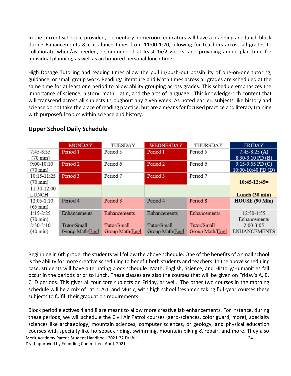In the current schedule provided, elementary homeroom educators will have a planning and lunch block during Enhancements & class lunch times from 11:00-1:20, allowing for teachers across all grades to collaborate when/as needed, recommended at least 1x/2 weeks, and providing ample plan time for individual planning, as well as an honored personal lunch time.

High Dosage Tutoring and reading times allow the pull in/push-out possibility of one-on-one tutoring, guidance, or small group work. Reading/Literature and Math times across all grades are scheduled at the same time for at least one period to allow ability grouping across grades. This schedule emphasizes the importance of science, history, math, Latin, and the arts of language. This knowledge-rich content that will transcend across all subjects throughout any given week. As noted earlier, subjects like history and science do not take the place of reading practice, but are a means for focused practice and literacy training with purposeful topics within science and history.

|                    | <b>MONDAY</b>       | TUESDAY             | <b>WEDNESDAY</b>    | THURSDAY        | <b>FRIDAY</b>       |
|--------------------|---------------------|---------------------|---------------------|-----------------|---------------------|
| $7:45 - 8:55$      | Period 1            | Period 5            | Period 1            | Period 5        | $7:45-8:25(A)$      |
| $(70 \text{ min})$ |                     |                     |                     |                 | 8:30-9:10 PD (B)    |
| $9:00-10:10$       | Period <sub>2</sub> | Period 6            | Period <sub>2</sub> | Period 6        | 9:15-9:55 PD (C)    |
| $(70 \text{ min})$ |                     |                     |                     |                 | 10:00-10:40 PD (D)  |
| 10:15-11:25        | Period 3            | Period 7            | Period 3            | Period 7        |                     |
| $(70 \text{ min})$ |                     |                     |                     |                 | $10:45 - 12:45 =$   |
| 11:30-12:00        |                     |                     |                     |                 |                     |
| LUNCH              |                     |                     |                     |                 | Lunch (30 min)      |
| 12:05-1:10         | Period 4            | Period <sub>8</sub> | Period 4            | Period 8        | HOUSE (90 Min)      |
| $(65 \text{ min})$ |                     |                     |                     |                 |                     |
| $1:15-2:25$        | Enhancements        | Enhancements        | Enhancements        | Enhancements    | $12:50-1:55$        |
| $(70 \text{ min})$ |                     |                     |                     |                 | Enhancements        |
| $2:30-3:10$        | Tutor/Small         | Tutor/Small         | Tutor/Small         | Tutor/Small     | $2:00 - 3:05$       |
| $(40 \text{ min})$ | Group Math/Engl     | Group Math/Engl     | Group Math/Engl     | Group Math/Engl | <b>ENHANCEMENTS</b> |

#### **Upper School Daily Schedule**

Beginning in 6th grade, the students will follow the above schedule. One of the benefits of a small school is the ability for more creative scheduling to benefit both students and teachers. In the above scheduling case, students will have alternating block schedule. Math, English, Science, and History/Humanities fall occur in the periods prior to lunch. These classes are also the courses that will be given on Friday's A, B, C, D periods. This gives all four core subjects on Friday, as well. The other two courses in the morning schedule will be a mix of Latin, Art, and Music, with high school freshmen taking full-year courses these subjects to fulfill their graduation requirements.

Merit Academy Parent-Student Handbook 2021-22 Draft 1 24 Draft approved by Founding Committee, April, 2021. Block period electives 4 and 8 are meant to allow more creative lab enhancements. For instance, during these periods, we will schedule the Civil Air Patrol courses (aero-sciences, color guard, more), specialty sciences like archaeology, mountain sciences, computer sciences, or geology, and physical education courses with specialty like horseback riding, swimming, mountain biking & repair, and more. They also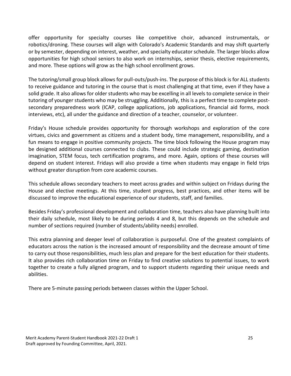offer opportunity for specialty courses like competitive choir, advanced instrumentals, or robotics/droning. These courses will align with Colorado's Academic Standards and may shift quarterly or by semester, depending on interest, weather, and specialty educator schedule. The larger blocks allow opportunities for high school seniors to also work on internships, senior thesis, elective requirements, and more. These options will grow as the high school enrollment grows.

The tutoring/small group block allows for pull-outs/push-ins. The purpose of this block is for ALL students to receive guidance and tutoring in the course that is most challenging at that time, even if they have a solid grade. It also allows for older students who may be excelling in all levels to complete service in their tutoring of younger students who may be struggling. Additionally, this is a perfect time to complete postsecondary preparedness work (ICAP, college applications, job applications, financial aid forms, mock interviews, etc), all under the guidance and direction of a teacher, counselor, or volunteer.

Friday's House schedule provides opportunity for thorough workshops and exploration of the core virtues, civics and government as citizens and a student body, time management, responsibility, and a fun means to engage in positive community projects. The time block following the House program may be designed additional courses connected to clubs. These could include strategic gaming, destination imagination, STEM focus, tech certification programs, and more. Again, options of these courses will depend on student interest. Fridays will also provide a time when students may engage in field trips without greater disruption from core academic courses.

This schedule allows secondary teachers to meet across grades and within subject on Fridays during the House and elective meetings. At this time, student progress, best practices, and other items will be discussed to improve the educational experience of our students, staff, and families.

Besides Friday's professional development and collaboration time, teachers also have planning built into their daily schedule, most likely to be during periods 4 and 8, but this depends on the schedule and number of sections required (number of students/ability needs) enrolled.

This extra planning and deeper level of collaboration is purposeful. One of the greatest complaints of educators across the nation is the increased amount of responsibility and the decrease amount of time to carry out those responsibilities, much less plan and prepare for the best education for their students. It also provides rich collaboration time on Friday to find creative solutions to potential issues, to work together to create a fully aligned program, and to support students regarding their unique needs and abilities.

There are 5-minute passing periods between classes within the Upper School.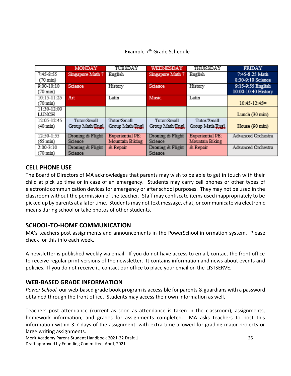|                    | <b>MONDAY</b>    | TUESDAY                 | <b>WEDNESDAY</b> | THURSDAY                | <b>FRIDAY</b>       |
|--------------------|------------------|-------------------------|------------------|-------------------------|---------------------|
| 7:45-8:55          | Singapore Math 7 | English                 | Singapore Math 7 | English                 | 7:45-8:25 Math      |
| $(70 \text{ min})$ |                  |                         |                  |                         | 8:30-9:10 Science   |
| $9:00-10:10$       | <b>Science</b>   | History                 | Science          | History                 | 9:15-9:55 English   |
| $(70 \text{ min})$ |                  |                         |                  |                         | 10:00-10:40 History |
| 10:15-11:25        | Art              | Latin                   | <b>Music</b>     | Latin                   |                     |
| $(70 \text{ min})$ |                  |                         |                  |                         | $10:45-12:45=$      |
| 11:30-12:00        |                  |                         |                  |                         |                     |
| LUNCH              |                  |                         |                  |                         | Lunch (30 min)      |
| 12:05-12:45        | Tutoo/Small      | Tutor/Small             | Tutor/Small      | Tutor/Small             |                     |
| $(40 \text{ min})$ | Group Math/Engl. | Group Math/Engl         | Group Math/Engl  | Group Math/Engl.        | House (90 min)      |
| 12:50-1:55         | Droning & Flight | <b>Experiential PE:</b> | Droning & Flight | <b>Experiential PE:</b> | Advanced Orchestra  |
| $(65 \text{ min})$ | <b>Science</b>   | Mountain Biking         | <b>Science</b>   | <b>Mountain Biking</b>  |                     |
| $2:00-3:10$        | Droning & Flight | & Repair                | Droning & Flight | & Repair                | Advanced Orchestra  |
| $(70 \text{ min})$ | <b>Science</b>   |                         | Science          |                         |                     |

#### Example 7th Grade Schedule

#### **CELL PHONE USE**

The Board of Directors of MA acknowledges that parents may wish to be able to get in touch with their child at pick up time or in case of an emergency. Students may carry cell phones or other types of electronic communication devices for emergency or after school purposes. They may not be used in the classroom without the permission of the teacher. Staff may confiscate items used inappropriately to be picked up by parents at a later time. Students may not text message, chat, or communicate via electronic means during school or take photos of other students.

#### **SCHOOL-TO-HOME COMMUNICATION**

MA's teachers post assignments and announcements in the PowerSchool information system. Please check for this info each week.

A newsletter is published weekly via email. If you do not have access to email, contact the front office to receive regular print versions of the newsletter. It contains information and news about events and policies. If you do not receive it, contact our office to place your email on the LISTSERVE.

#### **WEB-BASED GRADE INFORMATION**

*Power School,* our web-based grade book program is accessible for parents & guardians with a password obtained through the front office. Students may access their own information as well.

Teachers post attendance (current as soon as attendance is taken in the classroom), assignments, homework information, and grades for assignments completed. MA asks teachers to post this information within 3-7 days of the assignment, with extra time allowed for grading major projects or large writing assignments.

Merit Academy Parent-Student Handbook 2021-22 Draft 1 26 Draft approved by Founding Committee, April, 2021.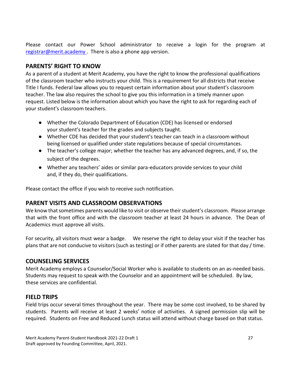Please contact our Power School administrator to receive a login for the program at [registrar@merit.academy](about:blank) . There is also a phone app version.

#### **PARENTS' RIGHT TO KNOW**

As a parent of a student at Merit Academy, you have the right to know the professional qualifications of the classroom teacher who instructs your child. This is a requirement for all districts that receive Title I funds. Federal law allows you to request certain information about your student's classroom teacher. The law also requires the school to give you this information in a timely manner upon request. Listed below is the information about which you have the right to ask for regarding each of your student's classroom teachers.

- Whether the Colorado Department of Education (CDE) has licensed or endorsed your student's teacher for the grades and subjects taught.
- Whether CDE has decided that your student's teacher can teach in a classroom without being licensed or qualified under state regulations because of special circumstances.
- The teacher's college major; whether the teacher has any advanced degrees, and, if so, the subject of the degrees.
- Whether any teachers' aides or similar para-educators provide services to your child and, if they do, their qualifications.

Please contact the office if you wish to receive such notification.

#### **PARENT VISITS AND CLASSROOM OBSERVATIONS**

We know that sometimes parents would like to visit or observe their student's classroom. Please arrange that with the front office and with the classroom teacher at least 24 hours in advance. The Dean of Academics must approve all visits.

For security, all visitors must wear a badge. We reserve the right to delay your visit if the teacher has plans that are not conducive to visitors (such as testing) or if other parents are slated for that day / time.

#### **COUNSELING SERVICES**

Merit Academy employs a Counselor/Social Worker who is available to students on an as-needed basis. Students may request to speak with the Counselor and an appointment will be scheduled. By law, these services are confidential.

#### **FIELD TRIPS**

Field trips occur several times throughout the year. There may be some cost involved, to be shared by students. Parents will receive at least 2 weeks' notice of activities. A signed permission slip will be required. Students on Free and Reduced Lunch status will attend without charge based on that status.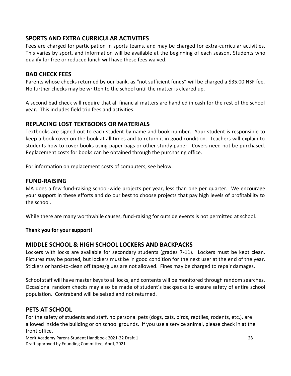#### **SPORTS AND EXTRA CURRICULAR ACTIVITIES**

Fees are charged for participation in sports teams, and may be charged for extra-curricular activities. This varies by sport, and information will be available at the beginning of each season. Students who qualify for free or reduced lunch will have these fees waived.

#### **BAD CHECK FEES**

Parents whose checks returned by our bank, as "not sufficient funds" will be charged a \$35.00 NSF fee. No further checks may be written to the school until the matter is cleared up.

A second bad check will require that all financial matters are handled in cash for the rest of the school year. This includes field trip fees and activities.

#### **REPLACING LOST TEXTBOOKS OR MATERIALS**

Textbooks are signed out to each student by name and book number. Your student is responsible to keep a book cover on the book at all times and to return it in good condition. Teachers will explain to students how to cover books using paper bags or other sturdy paper. Covers need not be purchased. Replacement costs for books can be obtained through the purchasing office.

For information on replacement costs of computers, see below.

#### **FUND-RAISING**

MA does a few fund-raising school-wide projects per year, less than one per quarter. We encourage your support in these efforts and do our best to choose projects that pay high levels of profitability to the school.

While there are many worthwhile causes, fund-raising for outside events is not permitted at school.

**Thank you for your support!**

#### **MIDDLE SCHOOL & HIGH SCHOOL LOCKERS AND BACKPACKS**

Lockers with locks are available for secondary students (grades 7-11). Lockers must be kept clean. Pictures may be posted, but lockers must be in good condition for the next user at the end of the year. Stickers or hard-to-clean off tapes/glues are not allowed. Fines may be charged to repair damages.

School staff will have master keys to all locks, and contents will be monitored through random searches. Occasional random checks may also be made of student's backpacks to ensure safety of entire school population. Contraband will be seized and not returned.

#### **PETS AT SCHOOL**

For the safety of students and staff, no personal pets (dogs, cats, birds, reptiles, rodents, etc.). are allowed inside the building or on school grounds. If you use a service animal, please check in at the front office.

Merit Academy Parent-Student Handbook 2021-22 Draft 1 28 28 28 Draft approved by Founding Committee, April, 2021.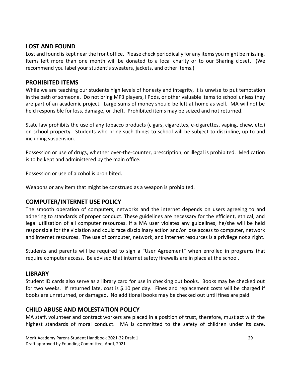#### **LOST AND FOUND**

Lost and found is kept near the front office. Please check periodically for any items you might be missing. Items left more than one month will be donated to a local charity or to our Sharing closet. (We recommend you label your student's sweaters, jackets, and other items.)

#### **PROHIBITED ITEMS**

While we are teaching our students high levels of honesty and integrity, it is unwise to put temptation in the path of someone. Do not bring MP3 players, I Pods, or other valuable items to school unless they are part of an academic project. Large sums of money should be left at home as well. MA will not be held responsible for loss, damage, or theft. Prohibited items may be seized and not returned.

State law prohibits the use of any tobacco products (cigars, cigarettes, e-cigarettes, vaping, chew, etc.) on school property. Students who bring such things to school will be subject to discipline, up to and including suspension.

Possession or use of drugs, whether over-the-counter, prescription, or illegal is prohibited. Medication is to be kept and administered by the main office.

Possession or use of alcohol is prohibited.

Weapons or any item that might be construed as a weapon is prohibited.

#### **COMPUTER/INTERNET USE POLICY**

The smooth operation of computers, networks and the internet depends on users agreeing to and adhering to standards of proper conduct. These guidelines are necessary for the efficient, ethical, and legal utilization of all computer resources. If a MA user violates any guidelines, he/she will be held responsible for the violation and could face disciplinary action and/or lose access to computer, network and internet resources. The use of computer, network, and internet resources is a privilege not a right.

Students and parents will be required to sign a "User Agreement" when enrolled in programs that require computer access. Be advised that internet safety firewalls are in place at the school.

#### **LIBRARY**

Student ID cards also serve as a library card for use in checking out books. Books may be checked out for two weeks. If returned late, cost is \$.10 per day. Fines and replacement costs will be charged if books are unreturned, or damaged. No additional books may be checked out until fines are paid.

#### **CHILD ABUSE AND MOLESTATION POLICY**

MA staff, volunteer and contract workers are placed in a position of trust, therefore, must act with the highest standards of moral conduct. MA is committed to the safety of children under its care.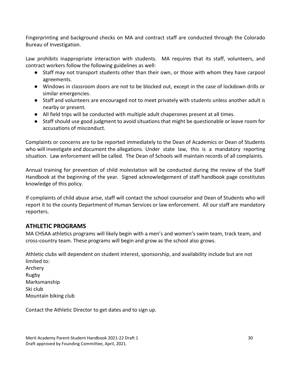Fingerprinting and background checks on MA and contract staff are conducted through the Colorado Bureau of Investigation.

Law prohibits inappropriate interaction with students. MA requires that its staff, volunteers, and contract workers follow the following guidelines as well:

- Staff may not transport students other than their own, or those with whom they have carpool agreements.
- Windows in classroom doors are not to be blocked out, except in the case of lockdown drills or similar emergencies.
- Staff and volunteers are encouraged not to meet privately with students unless another adult is nearby or present.
- All field trips will be conducted with multiple adult chaperones present at all times.
- Staff should use good judgment to avoid situations that might be questionable or leave room for accusations of misconduct.

Complaints or concerns are to be reported immediately to the Dean of Academics or Dean of Students who will investigate and document the allegations. Under state law, this is a mandatory reporting situation. Law enforcement will be called. The Dean of Schools will maintain records of all complaints.

Annual training for prevention of child molestation will be conducted during the review of the Staff Handbook at the beginning of the year. Signed acknowledgement of staff handbook page constitutes knowledge of this policy.

If complaints of child abuse arise, staff will contact the school counselor and Dean of Students who will report it to the county Department of Human Services or law enforcement. All our staff are mandatory reporters.

#### **ATHLETIC PROGRAMS**

MA CHSAA athletics programs will likely begin with a men's and women's swim team, track team, and cross-country team. These programs will begin and grow as the school also grows.

Athletic clubs will dependent on student interest, sponsorship, and availability include but are not limited to:

Archery Rugby Marksmanship Ski club Mountain biking club

Contact the Athletic Director to get dates and to sign up.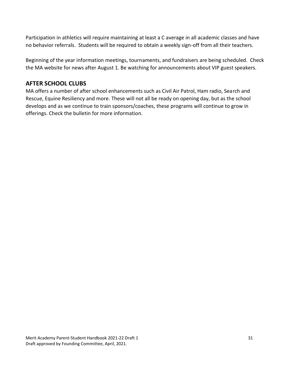Participation in athletics will require maintaining at least a C average in all academic classes and have no behavior referrals. Students will be required to obtain a weekly sign-off from all their teachers.

Beginning of the year information meetings, tournaments, and fundraisers are being scheduled. Check the MA website for news after August 1. Be watching for announcements about VIP guest speakers.

#### **AFTER SCHOOL CLUBS**

MA offers a number of after school enhancements such as Civil Air Patrol, Ham radio, Search and Rescue, Equine Resiliency and more. These will not all be ready on opening day, but as the school develops and as we continue to train sponsors/coaches, these programs will continue to grow in offerings. Check the bulletin for more information.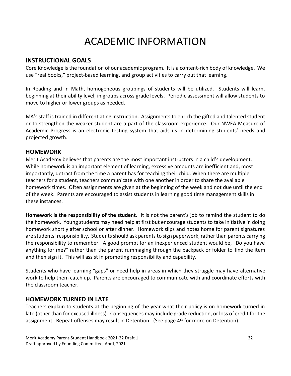# ACADEMIC INFORMATION

#### **INSTRUCTIONAL GOALS**

Core Knowledge is the foundation of our academic program. It is a content-rich body of knowledge. We use "real books," project-based learning, and group activities to carry out that learning.

In Reading and in Math, homogeneous groupings of students will be utilized. Students will learn, beginning at their ability level, in groups across grade levels. Periodic assessment will allow students to move to higher or lower groups as needed.

MA's staff is trained in differentiating instruction. Assignments to enrich the gifted and talented student or to strengthen the weaker student are a part of the classroom experience. Our NWEA Measure of Academic Progress is an electronic testing system that aids us in determining students' needs and projected growth.

#### **HOMEWORK**

Merit Academy believes that parents are the most important instructors in a child's development. While homework is an important element of learning, excessive amounts are inefficient and, most importantly, detract from the time a parent has for teaching their child. When there are multiple teachers for a student, teachers communicate with one another in order to share the available homework times. Often assignments are given at the beginning of the week and not due until the end of the week. Parents are encouraged to assist students in learning good time management skills in these instances.

**Homework is the responsibility of the student.** It is not the parent's job to remind the student to do the homework. Young students may need help at first but encourage students to take initiative in doing homework shortly after school or after dinner. Homework slips and notes home for parent signatures are students' responsibility. Students should ask parents to sign paperwork, rather than parents carrying the responsibility to remember. A good prompt for an inexperienced student would be, "Do you have anything for me?" rather than the parent rummaging through the backpack or folder to find the item and then sign it. This will assist in promoting responsibility and capability.

Students who have learning "gaps" or need help in areas in which they struggle may have alternative work to help them catch up. Parents are encouraged to communicate with and coordinate efforts with the classroom teacher.

#### **HOMEWORK TURNED IN LATE**

Teachers explain to students at the beginning of the year what their policy is on homework turned in late (other than for excused illness). Consequences may include grade reduction, or loss of credit for the assignment. Repeat offenses may result in Detention. (See page 49 for more on Detention).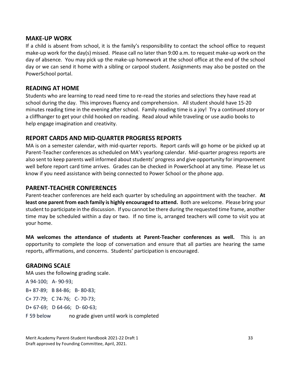#### **MAKE-UP WORK**

If a child is absent from school, it is the family's responsibility to contact the school office to request make-up work for the day(s) missed. Please call no later than 9:00 a.m. to request make-up work on the day of absence. You may pick up the make-up homework at the school office at the end of the school day or we can send it home with a sibling or carpool student. Assignments may also be posted on the PowerSchool portal.

#### **READING AT HOME**

Students who are learning to read need time to re-read the stories and selections they have read at school during the day. This improves fluency and comprehension. All student should have 15-20 minutes reading time in the evening after school. Family reading time is a joy! Try a continued story or a cliffhanger to get your child hooked on reading. Read aloud while traveling or use audio books to help engage imagination and creativity.

#### **REPORT CARDS AND MID-QUARTER PROGRESS REPORTS**

MA is on a semester calendar, with mid-quarter reports. Report cards will go home or be picked up at Parent-Teacher conferences as scheduled on MA's yearlong calendar. Mid-quarter progress reports are also sent to keep parents well informed about students' progress and give opportunity for improvement well before report card time arrives. Grades can be checked in PowerSchool at any time. Please let us know if you need assistance with being connected to Power School or the phone app.

#### **PARENT-TEACHER CONFERENCES**

Parent-teacher conferences are held each quarter by scheduling an appointment with the teacher. **At least one parent from each family is highly encouraged to attend.** Both are welcome. Please bring your student to participate in the discussion. If you cannot be there during the requested time frame, another time may be scheduled within a day or two. If no time is, arranged teachers will come to visit you at your home.

**MA welcomes the attendance of students at Parent-Teacher conferences as well.** This is an opportunity to complete the loop of conversation and ensure that all parties are hearing the same reports, affirmations, and concerns. Students' participation is encouraged.

#### **GRADING SCALE**

MA uses the following grading scale.

A 94-100; A- 90-93; B+ 87-89; B 84-86; B- 80-83; C+ 77-79; C 74-76; C- 70-73; D+ 67-69; D 64-66; D- 60-63; F 59 below no grade given until work is completed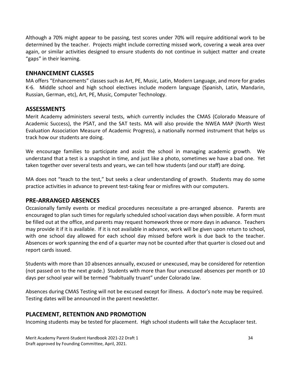Although a 70% might appear to be passing, test scores under 70% will require additional work to be determined by the teacher. Projects might include correcting missed work, covering a weak area over again, or similar activities designed to ensure students do not continue in subject matter and create "gaps" in their learning.

#### **ENHANCEMENT CLASSES**

MA offers "Enhancements" classes such as Art, PE, Music, Latin, Modern Language, and more for grades K-6. Middle school and high school electives include modern language (Spanish, Latin, Mandarin, Russian, German, etc), Art, PE, Music, Computer Technology.

#### **ASSESSMENTS**

Merit Academy administers several tests, which currently includes the CMAS (Colorado Measure of Academic Success), the PSAT, and the SAT tests. MA will also provide the NWEA MAP (North West Evaluation Association Measure of Academic Progress), a nationally normed instrument that helps us track how our students are doing.

We encourage families to participate and assist the school in managing academic growth. We understand that a test is a snapshot in time, and just like a photo, sometimes we have a bad one. Yet taken together over several tests and years, we can tell how students (and our staff) are doing.

MA does not "teach to the test," but seeks a clear understanding of growth. Students may do some practice activities in advance to prevent test-taking fear or misfires with our computers.

#### **PRE-ARRANGED ABSENCES**

Occasionally family events or medical procedures necessitate a pre-arranged absence. Parents are encouraged to plan such times for regularly scheduled school vacation days when possible. A form must be filled out at the office, and parents may request homework three or more days in advance. Teachers may provide it if it is available. If it is not available in advance, work will be given upon return to school, with one school day allowed for each school day missed before work is due back to the teacher. Absences or work spanning the end of a quarter may not be counted after that quarter is closed out and report cards issued.

Students with more than 10 absences annually, excused or unexcused, may be considered for retention (not passed on to the next grade.) Students with more than four unexcused absences per month or 10 days per school year will be termed "habitually truant" under Colorado law.

Absences during CMAS Testing will not be excused except for illness. A doctor's note may be required. Testing dates will be announced in the parent newsletter.

#### **PLACEMENT, RETENTION AND PROMOTION**

Incoming students may be tested for placement. High school students will take the Accuplacer test.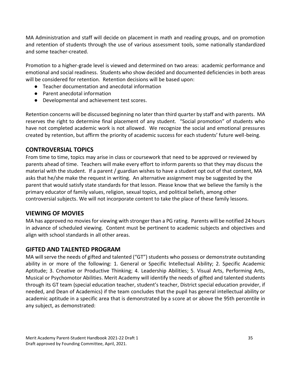MA Administration and staff will decide on placement in math and reading groups, and on promotion and retention of students through the use of various assessment tools, some nationally standardized and some teacher-created.

Promotion to a higher-grade level is viewed and determined on two areas: academic performance and emotional and social readiness. Students who show decided and documented deficiencies in both areas will be considered for retention. Retention decisions will be based upon:

- Teacher documentation and anecdotal information
- Parent anecdotal information
- Developmental and achievement test scores.

Retention concerns will be discussed beginning no later than third quarter by staff and with parents. MA reserves the right to determine final placement of any student. "Social promotion" of students who have not completed academic work is not allowed. We recognize the social and emotional pressures created by retention, but affirm the priority of academic success for each students' future well-being.

#### **CONTROVERSIAL TOPICS**

From time to time, topics may arise in class or coursework that need to be approved or reviewed by parents ahead of time. Teachers will make every effort to inform parents so that they may discuss the material with the student. If a parent / guardian wishes to have a student opt out of that content, MA asks that he/she make the request in writing. An alternative assignment may be suggested by the parent that would satisfy state standards for that lesson. Please know that we believe the family is the primary educator of family values, religion, sexual topics, and political beliefs, among other controversial subjects. We will not incorporate content to take the place of these family lessons.

#### **VIEWING OF MOVIES**

MA has approved no movies for viewing with stronger than a PG rating. Parents will be notified 24 hours in advance of scheduled viewing. Content must be pertinent to academic subjects and objectives and align with school standards in all other areas.

#### **GIFTED AND TALENTED PROGRAM**

MA will serve the needs of gifted and talented ("GT") students who possess or demonstrate outstanding ability in or more of the following: 1. General or Specific Intellectual Ability; 2. Specific Academic Aptitude; 3. Creative or Productive Thinking; 4. Leadership Abilities; 5. Visual Arts, Performing Arts, Musical or Psychomotor Abilities. Merit Academy will identify the needs of gifted and talented students through its GT team (special education teacher, student's teacher, District special education provider, if needed, and Dean of Academics) if the team concludes that the pupil has general intellectual ability or academic aptitude in a specific area that is demonstrated by a score at or above the 95th percentile in any subject, as demonstrated: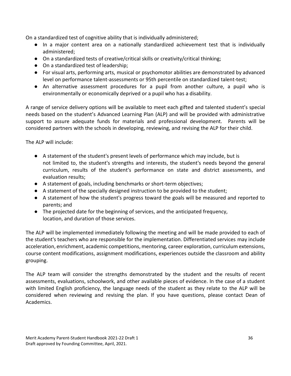On a standardized test of cognitive ability that is individually administered;

- In a major content area on a nationally standardized achievement test that is individually administered;
- On a standardized tests of creative/critical skills or creativity/critical thinking;
- On a standardized test of leadership;
- For visual arts, performing arts, musical or psychomotor abilities are demonstrated by advanced level on performance talent-assessments or 95th percentile on standardized talent-test;
- An alternative assessment procedures for a pupil from another culture, a pupil who is environmentally or economically deprived or a pupil who has a disability.

A range of service delivery options will be available to meet each gifted and talented student's special needs based on the student's Advanced Learning Plan (ALP) and will be provided with administrative support to assure adequate funds for materials and professional development. Parents will be considered partners with the schools in developing, reviewing, and revising the ALP for their child.

The ALP will include:

- A statement of the student's present levels of performance which may include, but is not limited to, the student's strengths and interests, the student's needs beyond the general curriculum, results of the student's performance on state and district assessments, and evaluation results;
- A statement of goals, including benchmarks or short-term objectives;
- A statement of the specially designed instruction to be provided to the student;
- A statement of how the student's progress toward the goals will be measured and reported to parents; and
- The projected date for the beginning of services, and the anticipated frequency, location, and duration of those services.

The ALP will be implemented immediately following the meeting and will be made provided to each of the student's teachers who are responsible for the implementation. Differentiated services may include acceleration, enrichment, academic competitions, mentoring, career exploration, curriculum extensions, course content modifications, assignment modifications, experiences outside the classroom and ability grouping.

The ALP team will consider the strengths demonstrated by the student and the results of recent assessments, evaluations, schoolwork, and other available pieces of evidence. In the case of a student with limited English proficiency, the language needs of the student as they relate to the ALP will be considered when reviewing and revising the plan. If you have questions, please contact Dean of Academics.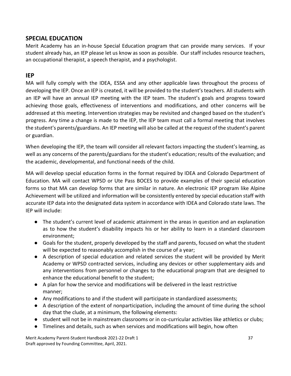#### **SPECIAL EDUCATION**

Merit Academy has an in-house Special Education program that can provide many services. If your student already has, an IEP please let us know as soon as possible. Our staff includes resource teachers, an occupational therapist, a speech therapist, and a psychologist.

#### **IEP**

MA will fully comply with the IDEA, ESSA and any other applicable laws throughout the process of developing the IEP. Once an IEP is created, it will be provided to the student's teachers. All students with an IEP will have an annual IEP meeting with the IEP team. The student's goals and progress toward achieving those goals, effectiveness of interventions and modifications, and other concerns will be addressed at this meeting. Intervention strategies may be revisited and changed based on the student's progress. Any time a change is made to the IEP, the IEP team must call a formal meeting that involves the student's parents/guardians. An IEP meeting will also be called at the request of the student's parent or guardian.

When developing the IEP, the team will consider all relevant factors impacting the student's learning, as well as any concerns of the parents/guardians for the student's education; results of the evaluation; and the academic, developmental, and functional needs of the child.

MA will develop special education forms in the format required by IDEA and Colorado Department of Education. MA will contact WPSD or Ute Pass BOCES to provide examples of their special education forms so that MA can develop forms that are similar in nature. An electronic IEP program like Alpine Achievement will be utilized and information will be consistently entered by special education staff with accurate IEP data into the designated data system in accordance with IDEA and Colorado state laws. The IEP will include:

- The student's current level of academic attainment in the areas in question and an explanation as to how the student's disability impacts his or her ability to learn in a standard classroom environment;
- Goals for the student, properly developed by the staff and parents, focused on what the student will be expected to reasonably accomplish in the course of a year;
- A description of special education and related services the student will be provided by Merit Academy or WPSD contracted services, including any devices or other supplementary aids and any interventions from personnel or changes to the educational program that are designed to enhance the educational benefit to the student;
- A plan for how the service and modifications will be delivered in the least restrictive manner;
- Any modifications to and if the student will participate in standardized assessments;
- A description of the extent of nonparticipation, including the amount of time during the school day that the clude, at a minimum, the following elements:
- student will not be in mainstream classrooms or in co-curricular activities like athletics or clubs;
- Timelines and details, such as when services and modifications will begin, how often

Merit Academy Parent-Student Handbook 2021-22 Draft 1 37 37 Draft approved by Founding Committee, April, 2021.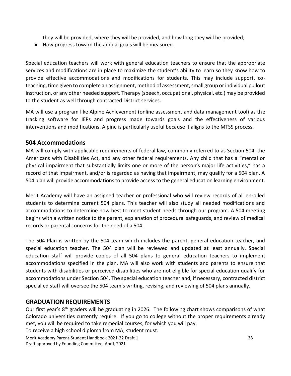they will be provided, where they will be provided, and how long they will be provided;

● How progress toward the annual goals will be measured.

Special education teachers will work with general education teachers to ensure that the appropriate services and modifications are in place to maximize the student's ability to learn so they know how to provide effective accommodations and modifications for students. This may include support, coteaching, time given to complete an assignment, method of assessment, small group or individual pullout instruction, or any other needed support. Therapy (speech, occupational, physical, etc.) may be provided to the student as well through contracted District services.

MA will use a program like Alpine Achievement (online assessment and data management tool) as the tracking software for IEPs and progress made towards goals and the effectiveness of various interventions and modifications. Alpine is particularly useful because it aligns to the MTSS process.

#### **504 Accommodations**

MA will comply with applicable requirements of federal law, commonly referred to as Section 504, the Americans with Disabilities Act, and any other federal requirements. Any child that has a "mental or physical impairment that substantially limits one or more of the person's major life activities," has a record of that impairment, and/or is regarded as having that impairment, may qualify for a 504 plan. A 504 plan will provide accommodations to provide access to the general education learning environment.

Merit Academy will have an assigned teacher or professional who will review records of all enrolled students to determine current 504 plans. This teacher will also study all needed modifications and accommodations to determine how best to meet student needs through our program. A 504 meeting begins with a written notice to the parent, explanation of procedural safeguards, and review of medical records or parental concerns for the need of a 504.

The 504 Plan is written by the 504 team which includes the parent, general education teacher, and special education teacher. The 504 plan will be reviewed and updated at least annually. Special education staff will provide copies of all 504 plans to general education teachers to implement accommodations specified in the plan. MA will also work with students and parents to ensure that students with disabilities or perceived disabilities who are not eligible for special education qualify for accommodations under Section 504. The special education teacher and, if necessary, contracted district special ed staff will oversee the 504 team's writing, revising, and reviewing of 504 plans annually.

#### **GRADUATION REQUIREMENTS**

Our first year's 8<sup>th</sup> graders will be graduating in 2026. The following chart shows comparisons of what Colorado universities currently require. If you go to college without the proper requirements already met, you will be required to take remedial courses, for which you will pay.

To receive a high school diploma from MA, student must:

Merit Academy Parent-Student Handbook 2021-22 Draft 1 38 38 Draft approved by Founding Committee, April, 2021.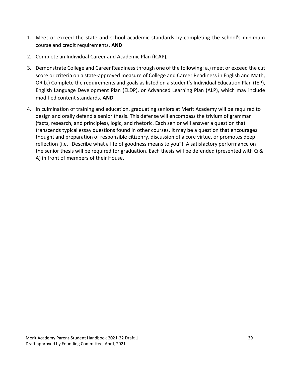- 1. Meet or exceed the state and school academic standards by completing the school's minimum course and credit requirements, **AND**
- 2. Complete an Individual Career and Academic Plan (ICAP),
- 3. Demonstrate College and Career Readiness through one of the following: a.) meet or exceed the cut score or criteria on a state-approved measure of College and Career Readiness in English and Math, OR b.) Complete the requirements and goals as listed on a student's Individual Education Plan (IEP), English Language Development Plan (ELDP), or Advanced Learning Plan (ALP), which may include modified content standards. **AND**
- 4. In culmination of training and education, graduating seniors at Merit Academy will be required to design and orally defend a senior thesis. This defense will encompass the trivium of grammar (facts, research, and principles), logic, and rhetoric. Each senior will answer a question that transcends typical essay questions found in other courses. It may be a question that encourages thought and preparation of responsible citizenry, discussion of a core virtue, or promotes deep reflection (i.e. "Describe what a life of goodness means to you"). A satisfactory performance on the senior thesis will be required for graduation. Each thesis will be defended (presented with Q & A) in front of members of their House.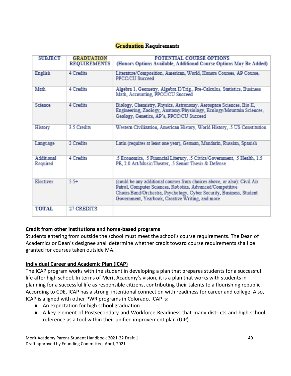#### **Graduation** Requirements

| <b>SURJECT</b>         | <b>GRADUATION</b><br><b>REQUIREMENTS</b> | <b>POTENTIAL COURSE OPTIONS</b><br>(Honors Options Available, Additional Course Options May Be Added)                                                                                                                                                             |
|------------------------|------------------------------------------|-------------------------------------------------------------------------------------------------------------------------------------------------------------------------------------------------------------------------------------------------------------------|
| <b>English</b>         | 4 Credits                                | Literature/Composition, American, World, Honors Courses, AP Course,<br><b>PPCC/CU Succeed</b>                                                                                                                                                                     |
| Math                   | 4 Credits                                | Algebra 1, Geometry, Algebra II/Trig., Pre-Calculus, Statistics, Business<br>Math, Accounting, PPCC/CU Succeed                                                                                                                                                    |
| Science                | 4 Credits                                | Biology, Chemistry, Physics, Astronomy, Aerospace Sciences, Bio II,<br>Engineering, Zoology, Anatomy/Physiology, Ecology/Mountain Sciences,<br>Geology, Genetics, AP's, PPCC/CU Succeed                                                                           |
| History                | 3.5 Credits                              | Western Civilization, American History, World History, .5 US Constitution                                                                                                                                                                                         |
| Language               | 2 Credits                                | Latin (requires at least one year), German, Mandarin, Russian, Spanish                                                                                                                                                                                            |
| Additional<br>Required | 4 Credits                                | .5 Economics, .5 Financial Literacy, .5 Civics/Government, .5 Health, 1.5<br>PE, 2.0 Art/Music/Theater, .5 Senior Thesis & Defense                                                                                                                                |
| <b>Electives</b>       | $5.5+$                                   | (could be any additional courses from choices above, or also): Civil Air<br>Patrol, Computer Sciences, Robotics, Advanced/Competitive<br>Choirs/Band/Orchestra, Psychology, Cyber Security, Business, Student<br>Government, Yearbook, Creative Writing, and more |
| TOTAL.                 | 27 CREDITS                               |                                                                                                                                                                                                                                                                   |

#### **Credit from other institutions and home-based programs**

Students entering from outside the school must meet the school's course requirements. The Dean of Academics or Dean's designee shall determine whether credit toward course requirements shall be granted for courses taken outside MA.

#### **Individual Career and Academic Plan (ICAP)**

The ICAP program works with the student in developing a plan that prepares students for a successful life after high school. In terms of Merit Academy's vision, it is a plan that works with students in planning for a successful life as responsible citizens, contributing their talents to a flourishing republic. According to CDE, ICAP has a strong, intentional connection with readiness for career and college. Also, ICAP is aligned with other PWR programs in Colorado. ICAP is:

- An expectation for high school graduation
- A key element of Postsecondary and Workforce Readiness that many districts and high school reference as a tool within their unified improvement plan (UIP)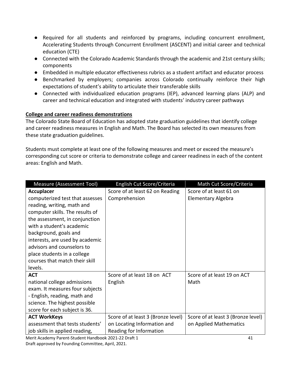- Required for all students and reinforced by programs, including concurrent enrollment, Accelerating Students through Concurrent Enrollment (ASCENT) and initial career and technical education (CTE)
- Connected with the Colorado Academic Standards through the academic and 21st century skills; components
- Embedded in multiple educator effectiveness rubrics as a student artifact and educator process
- Benchmarked by employers; companies across Colorado continually reinforce their high expectations of student's ability to articulate their transferable skills
- Connected with individualized education programs (IEP), advanced learning plans (ALP) and career and technical education and integrated with students' industry career pathways

#### **College and career readiness demonstrations**

The Colorado State Board of Education has adopted state graduation guidelines that identify college and career readiness measures in English and Math. The Board has selected its own measures from these state graduation guidelines.

Students must complete at least one of the following measures and meet or exceed the measure's corresponding cut score or criteria to demonstrate college and career readiness in each of the content areas: English and Math.

| Measure (Assessment Tool)       | English Cut Score/Criteria         | Math Cut Score/Criteria            |
|---------------------------------|------------------------------------|------------------------------------|
| <b>Accuplacer</b>               | Score of at least 62 on Reading    | Score of at least 61 on            |
| computerized test that assesses | Comprehension                      | <b>Elementary Algebra</b>          |
| reading, writing, math and      |                                    |                                    |
| computer skills. The results of |                                    |                                    |
| the assessment, in conjunction  |                                    |                                    |
| with a student's academic       |                                    |                                    |
| background, goals and           |                                    |                                    |
| interests, are used by academic |                                    |                                    |
| advisors and counselors to      |                                    |                                    |
| place students in a college     |                                    |                                    |
| courses that match their skill  |                                    |                                    |
| levels.                         |                                    |                                    |
| <b>ACT</b>                      | Score of at least 18 on ACT        | Score of at least 19 on ACT        |
| national college admissions     | English                            | Math                               |
| exam. It measures four subjects |                                    |                                    |
| - English, reading, math and    |                                    |                                    |
| science. The highest possible   |                                    |                                    |
| score for each subject is 36.   |                                    |                                    |
| <b>ACT WorkKeys</b>             | Score of at least 3 (Bronze level) | Score of at least 3 (Bronze level) |
| assessment that tests students' | on Locating Information and        | on Applied Mathematics             |
| job skills in applied reading,  | Reading for Information            |                                    |

Merit Academy Parent-Student Handbook 2021-22 Draft 1 41 Ann 2012 10: 41 Ann 2012 11: 41 Draft approved by Founding Committee, April, 2021.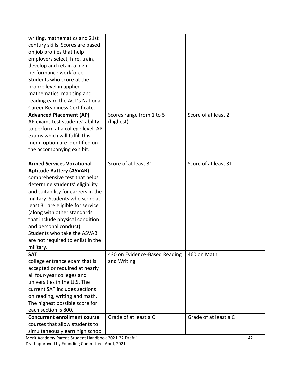| writing, mathematics and 21st       |                               |                       |
|-------------------------------------|-------------------------------|-----------------------|
| century skills. Scores are based    |                               |                       |
| on job profiles that help           |                               |                       |
| employers select, hire, train,      |                               |                       |
| develop and retain a high           |                               |                       |
| performance workforce.              |                               |                       |
| Students who score at the           |                               |                       |
| bronze level in applied             |                               |                       |
| mathematics, mapping and            |                               |                       |
| reading earn the ACT's National     |                               |                       |
| Career Readiness Certificate.       |                               |                       |
| <b>Advanced Placement (AP)</b>      | Scores range from 1 to 5      | Score of at least 2   |
| AP exams test students' ability     | (highest).                    |                       |
| to perform at a college level. AP   |                               |                       |
| exams which will fulfill this       |                               |                       |
| menu option are identified on       |                               |                       |
| the accompanying exhibit.           |                               |                       |
|                                     |                               |                       |
| <b>Armed Services Vocational</b>    | Score of at least 31          | Score of at least 31  |
| <b>Aptitude Battery (ASVAB)</b>     |                               |                       |
| comprehensive test that helps       |                               |                       |
| determine students' eligibility     |                               |                       |
| and suitability for careers in the  |                               |                       |
| military. Students who score at     |                               |                       |
| least 31 are eligible for service   |                               |                       |
| (along with other standards         |                               |                       |
| that include physical condition     |                               |                       |
| and personal conduct).              |                               |                       |
| Students who take the ASVAB         |                               |                       |
| are not required to enlist in the   |                               |                       |
| military.                           |                               |                       |
| <b>SAT</b>                          | 430 on Evidence-Based Reading | 460 on Math           |
| college entrance exam that is       | and Writing                   |                       |
| accepted or required at nearly      |                               |                       |
| all four-year colleges and          |                               |                       |
| universities in the U.S. The        |                               |                       |
| current SAT includes sections       |                               |                       |
| on reading, writing and math.       |                               |                       |
| The highest possible score for      |                               |                       |
| each section is 800.                |                               |                       |
| <b>Concurrent enrollment course</b> | Grade of at least a C         | Grade of at least a C |
| courses that allow students to      |                               |                       |
| simultaneously earn high school     |                               |                       |

Merit Academy Parent-Student Handbook 2021-22 Draft 1 42 Draft approved by Founding Committee, April, 2021.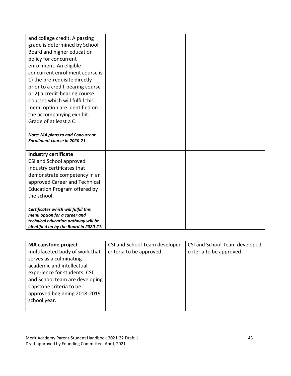| and college credit. A passing                                        |  |
|----------------------------------------------------------------------|--|
| grade is determined by School                                        |  |
| Board and higher education                                           |  |
| policy for concurrent                                                |  |
| enrollment. An eligible                                              |  |
| concurrent enrollment course is                                      |  |
| 1) the pre-requisite directly                                        |  |
| prior to a credit-bearing course                                     |  |
| or 2) a credit-bearing course.                                       |  |
| Courses which will fulfill this                                      |  |
| menu option are identified on                                        |  |
| the accompanying exhibit.                                            |  |
| Grade of at least a C.                                               |  |
|                                                                      |  |
|                                                                      |  |
| <b>Note: MA plans to add Concurrent</b>                              |  |
| Enrollment course in 2020-21.                                        |  |
|                                                                      |  |
| <b>Industry certificate</b>                                          |  |
| CSI and School approved                                              |  |
| industry certificates that                                           |  |
| demonstrate competency in an                                         |  |
| approved Career and Technical                                        |  |
| <b>Education Program offered by</b>                                  |  |
| the school.                                                          |  |
|                                                                      |  |
| Certificates which will fulfill this<br>menu option for a career and |  |
| technical education pathway will be                                  |  |

| <b>MA capstone project</b>     | CSI and School Team developed | CSI and School Team developed |
|--------------------------------|-------------------------------|-------------------------------|
| multifaceted body of work that | criteria to be approved.      | criteria to be approved.      |
| serves as a culminating        |                               |                               |
| academic and intellectual      |                               |                               |
| experience for students. CSI   |                               |                               |
| and School team are developing |                               |                               |
| Capstone criteria to be        |                               |                               |
| approved beginning 2018-2019   |                               |                               |
| school year.                   |                               |                               |
|                                |                               |                               |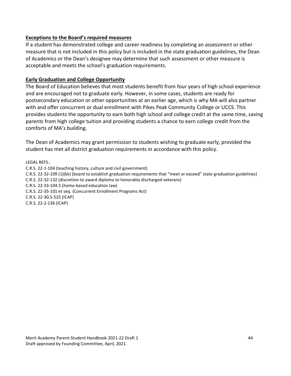#### **Exceptions to the Board's required measures**

If a student has demonstrated college and career readiness by completing an assessment or other measure that is not included in this policy but is included in the state graduation guidelines, the Dean of Academics or the Dean's designee may determine that such assessment or other measure is acceptable and meets the school's graduation requirements.

#### **Early Graduation and College Opportunity**

The Board of Education believes that most students benefit from four years of high school experience and are encouraged not to graduate early. However, in some cases, students are ready for postsecondary education or other opportunities at an earlier age, which is why MA will also partner with and offer concurrent or dual enrollment with Pikes Peak Community College or UCCS. This provides students the opportunity to earn both high school and college credit at the same time, saving parents from high college tuition and providing students a chance to earn college credit from the comforts of MA's building.

The Dean of Academics may grant permission to students wishing to graduate early, provided the student has met all district graduation requirements in accordance with this policy.

LEGAL REFS.:

C.R.S. 22-1-104 (teaching history, culture and civil government)

C.R.S. 22-32-109 (1)(kk) (board to establish graduation requirements that "meet or exceed" state graduation guidelines)

C.R.S. 22-32-132 (discretion to award diploma to honorably discharged veterans)

C.R.S. 22-33-104.5 (home-based education law)

C.R.S. 22-35-101 et seq. (Concurrent Enrollment Programs Act)

C.R.S. 22-30.5-525 (ICAP)

C.R.S. 22-2-136 (ICAP)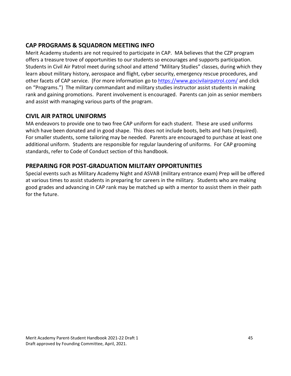#### **CAP PROGRAMS & SQUADRON MEETING INFO**

Merit Academy students are not required to participate in CAP. MA believes that the CZP program offers a treasure trove of opportunities to our students so encourages and supports participation. Students in Civil Air Patrol meet during school and attend "Military Studies" classes, during which they learn about military history, aerospace and flight, cyber security, emergency rescue procedures, and other facets of CAP service. (For more information go t[o https://www.gocivilairpatrol.com/](https://www.gocivilairpatrol.com/) and click on "Programs.") The military commandant and military studies instructor assist students in making rank and gaining promotions. Parent involvement is encouraged. Parents can join as senior members and assist with managing various parts of the program.

#### **CIVIL AIR PATROL UNIFORMS**

MA endeavors to provide one to two free CAP uniform for each student. These are used uniforms which have been donated and in good shape. This does not include boots, belts and hats (required). For smaller students, some tailoring may be needed. Parents are encouraged to purchase at least one additional uniform. Students are responsible for regular laundering of uniforms. For CAP grooming standards, refer to Code of Conduct section of this handbook.

#### **PREPARING FOR POST-GRADUATION MILITARY OPPORTUNITIES**

Special events such as Military Academy Night and ASVAB (military entrance exam) Prep will be offered at various times to assist students in preparing for careers in the military. Students who are making good grades and advancing in CAP rank may be matched up with a mentor to assist them in their path for the future.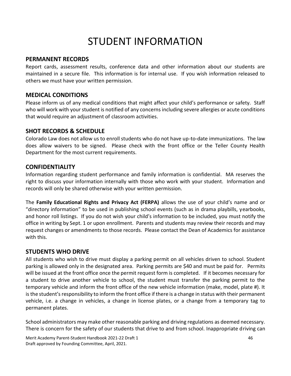### STUDENT INFORMATION

#### **PERMANENT RECORDS**

Report cards, assessment results, conference data and other information about our students are maintained in a secure file. This information is for internal use. If you wish information released to others we must have your written permission.

#### **MEDICAL CONDITIONS**

Please inform us of any medical conditions that might affect your child's performance or safety. Staff who will work with your student is notified of any concerns including severe allergies or acute conditions that would require an adjustment of classroom activities.

#### **SHOT RECORDS & SCHEDULE**

Colorado Law does not allow us to enroll students who do not have up-to-date immunizations. The law does allow waivers to be signed. Please check with the front office or the Teller County Health Department for the most current requirements.

#### **CONFIDENTIALITY**

Information regarding student performance and family information is confidential. MA reserves the right to discuss your information internally with those who work with your student. Information and records will only be shared otherwise with your written permission.

The **Family Educational Rights and Privacy Act (FERPA)** allows the use of your child's name and or "directory information" to be used in publishing school events (such as in drama playbills, yearbooks, and honor roll listings. If you do not wish your child's information to be included, you must notify the office in writing by Sept. 1 or upon enrollment. Parents and students may review their records and may request changes or amendments to those records. Please contact the Dean of Academics for assistance with this.

#### **STUDENTS WHO DRIVE**

All students who wish to drive must display a parking permit on all vehicles driven to school. Student parking is allowed only in the designated area. Parking permits are \$40 and must be paid for. Permits will be issued at the front office once the permit request form is completed. If it becomes necessary for a student to drive another vehicle to school, the student must transfer the parking permit to the temporary vehicle and inform the front office of the new vehicle information (make, model, plate #). It is the student's responsibility to inform the front office if there is a change in status with their permanent vehicle, i.e. a change in vehicles, a change in license plates, or a change from a temporary tag to permanent plates.

School administrators may make other reasonable parking and driving regulations as deemed necessary. There is concern for the safety of our students that drive to and from school. Inappropriate driving can

Merit Academy Parent-Student Handbook 2021-22 Draft 1 46 AM And 2021-22 Draft 1 46 Draft approved by Founding Committee, April, 2021.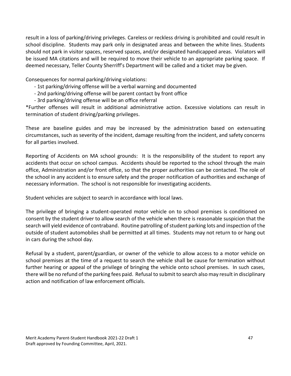result in a loss of parking/driving privileges. Careless or reckless driving is prohibited and could result in school discipline. Students may park only in designated areas and between the white lines. Students should not park in visitor spaces, reserved spaces, and/or designated handicapped areas. Violators will be issued MA citations and will be required to move their vehicle to an appropriate parking space. If deemed necessary, Teller County Sherriff's Department will be called and a ticket may be given.

Consequences for normal parking/driving violations:

- 1st parking/driving offense will be a verbal warning and documented
- 2nd parking/driving offense will be parent contact by front office
- 3rd parking/driving offense will be an office referral

\*Further offenses will result in additional administrative action. Excessive violations can result in termination of student driving/parking privileges.

These are baseline guides and may be increased by the administration based on extenuating circumstances, such as severity of the incident, damage resulting from the incident, and safety concerns for all parties involved.

Reporting of Accidents on MA school grounds: It is the responsibility of the student to report any accidents that occur on school campus. Accidents should be reported to the school through the main office, Administration and/or front office, so that the proper authorities can be contacted. The role of the school in any accident is to ensure safety and the proper notification of authorities and exchange of necessary information. The school is not responsible for investigating accidents.

Student vehicles are subject to search in accordance with local laws.

The privilege of bringing a student-operated motor vehicle on to school premises is conditioned on consent by the student driver to allow search of the vehicle when there is reasonable suspicion that the search will yield evidence of contraband. Routine patrolling of student parking lots and inspection of the outside of student automobiles shall be permitted at all times. Students may not return to or hang out in cars during the school day.

Refusal by a student, parent/guardian, or owner of the vehicle to allow access to a motor vehicle on school premises at the time of a request to search the vehicle shall be cause for termination without further hearing or appeal of the privilege of bringing the vehicle onto school premises. In such cases, there will be no refund of the parking fees paid. Refusal to submit to search also may result in disciplinary action and notification of law enforcement officials.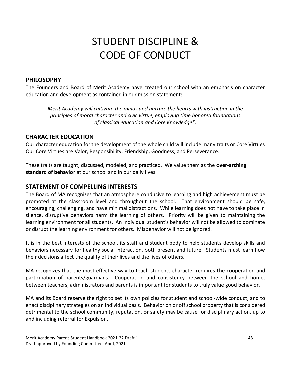# STUDENT DISCIPLINE & CODE OF CONDUCT

#### **PHILOSOPHY**

The Founders and Board of Merit Academy have created our school with an emphasis on character education and development as contained in our mission statement:

*Merit Academy will cultivate the minds and nurture the hearts with instruction in the principles of moral character and civic virtue, employing time honored foundations of classical education and Core Knowledge®.*

#### **CHARACTER EDUCATION**

Our character education for the development of the whole child will include many traits or Core Virtues Our Core Virtues are Valor, Responsibility, Friendship, Goodness, and Perseverance.

These traits are taught, discussed, modeled, and practiced. We value them as the **over-arching standard of behavior** at our school and in our daily lives.

#### **STATEMENT OF COMPELLING INTERESTS**

The Board of MA recognizes that an atmosphere conducive to learning and high achievement must be promoted at the classroom level and throughout the school. That environment should be safe, encouraging, challenging, and have minimal distractions. While learning does not have to take place in silence, disruptive behaviors harm the learning of others. Priority will be given to maintaining the learning environment for all students. An individual student's behavior will not be allowed to dominate or disrupt the learning environment for others. Misbehavior will not be ignored.

It is in the best interests of the school, its staff and student body to help students develop skills and behaviors necessary for healthy social interaction, both present and future. Students must learn how their decisions affect the quality of their lives and the lives of others.

MA recognizes that the most effective way to teach students character requires the cooperation and participation of parents/guardians. Cooperation and consistency between the school and home, between teachers, administrators and parents is important for students to truly value good behavior.

MA and its Board reserve the right to set its own policies for student and school-wide conduct, and to enact disciplinary strategies on an individual basis. Behavior on or off school property that is considered detrimental to the school community, reputation, or safety may be cause for disciplinary action, up to and including referral for Expulsion.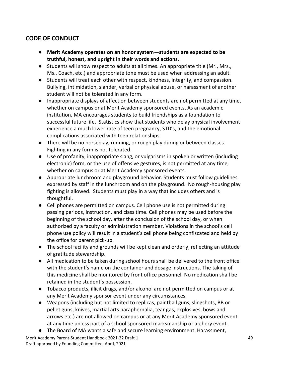#### **CODE OF CONDUCT**

- **Merit Academy operates on an honor system—students are expected to be truthful, honest, and upright in their words and actions.**
- Students will show respect to adults at all times. An appropriate title (Mr., Mrs., Ms., Coach, etc.) and appropriate tone must be used when addressing an adult.
- Students will treat each other with respect, kindness, integrity, and compassion. Bullying, intimidation, slander, verbal or physical abuse, or harassment of another student will not be tolerated in any form.
- Inappropriate displays of affection between students are not permitted at any time, whether on campus or at Merit Academy sponsored events. As an academic institution, MA encourages students to build friendships as a foundation to successful future life. Statistics show that students who delay physical involvement experience a much lower rate of teen pregnancy, STD's, and the emotional complications associated with teen relationships.
- There will be no horseplay, running, or rough play during or between classes. Fighting in any form is not tolerated.
- Use of profanity, inappropriate slang, or vulgarisms in spoken or written (including electronic) form, or the use of offensive gestures, is not permitted at any time, whether on campus or at Merit Academy sponsored events.
- Appropriate lunchroom and playground behavior. Students must follow guidelines expressed by staff in the lunchroom and on the playground. No rough-housing play fighting is allowed. Students must play in a way that includes others and is thoughtful.
- Cell phones are permitted on campus. Cell phone use is not permitted during passing periods, instruction, and class time. Cell phones may be used before the beginning of the school day, after the conclusion of the school day, or when authorized by a faculty or administration member. Violations in the school's cell phone use policy will result in a student's cell phone being confiscated and held by the office for parent pick-up.
- The school facility and grounds will be kept clean and orderly, reflecting an attitude of gratitude stewardship.
- All medication to be taken during school hours shall be delivered to the front office with the student's name on the container and dosage instructions. The taking of this medicine shall be monitored by front office personnel. No medication shall be retained in the student's possession.
- Tobacco products, illicit drugs, and/or alcohol are not permitted on campus or at any Merit Academy sponsor event under any circumstances.
- Weapons (including but not limited to replicas, paintball guns, slingshots, BB or pellet guns, knives, martial arts paraphernalia, tear gas, explosives, bows and arrows etc.) are not allowed on campus or at any Merit Academy sponsored event at any time unless part of a school sponsored marksmanship or archery event.
- The Board of MA wants a safe and secure learning environment. Harassment,

Merit Academy Parent-Student Handbook 2021-22 Draft 1 49 Draft approved by Founding Committee, April, 2021.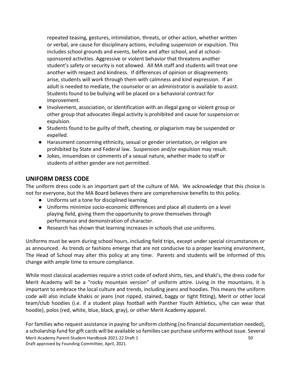repeated teasing, gestures, intimidation, threats, or other action, whether written or verbal, are cause for disciplinary actions, including suspension or expulsion. This includes school grounds and events, before and after school, and at schoolsponsored activities. Aggressive or violent behavior that threatens another student's safety or security is not allowed. All MA staff and students will treat one another with respect and kindness. If differences of opinion or disagreements arise, students will work through them with calmness and kind expression. If an adult is needed to mediate, the counselor or an administrator is available to assist. Students found to be bullying will be placed on a behavioral contract for improvement.

- Involvement, association, or identification with an illegal gang or violent group or other group that advocates illegal activity is prohibited and cause for suspension or expulsion.
- Students found to be guilty of theft, cheating, or plagiarism may be suspended or expelled.
- Harassment concerning ethnicity, sexual or gender orientation, or religion are prohibited by State and Federal law. Suspension and/or expulsion may result.
- Jokes, innuendoes or comments of a sexual nature, whether made to staff or students of either gender are not permitted.

#### **UNIFORM DRESS CODE**

The uniform dress code is an important part of the culture of MA. We acknowledge that this choice is not for everyone, but the MA Board believes there are comprehensive benefits to this policy.

- Uniforms set a tone for disciplined learning.
- Uniforms minimize socio-economic differences and place all students on a level playing field, giving them the opportunity to prove themselves through performance and demonstration of character.
- Research has shown that learning increases in schools that use uniforms.

Uniforms must be worn during school hours, including field trips, except under special circumstances or as announced. As trends or fashions emerge that are not conducive to a proper learning environment, The Head of School may alter this policy at any time. Parents and students will be informed of this change with ample time to ensure compliance.

While most classical academies require a strict code of oxford shirts, ties, and khaki's, the dress code for Merit Academy will be a "rocky mountain version" of uniform attire. Living in the mountains, it is important to embrace the local culture and trends, including jeans and hoodies. This means the uniform code will also include khakis or jeans (not ripped, stained, baggy or tight fitting), Merit or other local team/club hoodies (i.e. if a student plays football with Panther Youth Athletics, s/he can wear that hoodie), polos (red, white, blue, black, gray), or other Merit Academy apparel.

Merit Academy Parent-Student Handbook 2021-22 Draft 1 50 november 2021-20 and 50 Draft approved by Founding Committee, April, 2021. For families who request assistance in paying for uniform clothing (no financial documentation needed), a scholarship fund for gift cards will be available so families can purchase uniforms without issue. Several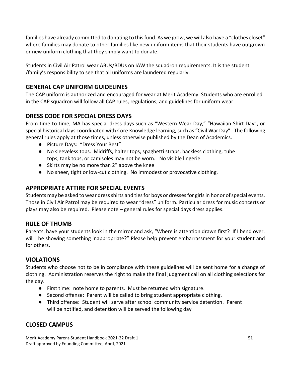families have already committed to donating to this fund. As we grow, we will also have a "clothes closet" where families may donate to other families like new uniform items that their students have outgrown or new uniform clothing that they simply want to donate.

Students in Civil Air Patrol wear ABUs/BDUs on IAW the squadron requirements. It is the student /family's responsibility to see that all uniforms are laundered regularly.

#### **GENERAL CAP UNIFORM GUIDELINES**

The CAP uniform is authorized and encouraged for wear at Merit Academy. Students who are enrolled in the CAP squadron will follow all CAP rules, regulations, and guidelines for uniform wear

#### **DRESS CODE FOR SPECIAL DRESS DAYS**

From time to time, MA has special dress days such as "Western Wear Day," "Hawaiian Shirt Day", or special historical days coordinated with Core Knowledge learning, such as "Civil War Day". The following general rules apply at those times, unless otherwise published by the Dean of Academics.

- Picture Days: "Dress Your Best"
- No sleeveless tops. Midriffs, halter tops, spaghetti straps, backless clothing, tube tops, tank tops, or camisoles may not be worn. No visible lingerie.
- Skirts may be no more than 2" above the knee
- No sheer, tight or low-cut clothing. No immodest or provocative clothing.

#### **APPROPRIATE ATTIRE FOR SPECIAL EVENTS**

Students may be asked to wear dress shirts and ties for boys or dresses for girls in honor of special events. Those in Civil Air Patrol may be required to wear "dress" uniform. Particular dress for music concerts or plays may also be required. Please note – general rules for special days dress applies.

#### **RULE OF THUMB**

Parents, have your students look in the mirror and ask, "Where is attention drawn first? If I bend over, will I be showing something inappropriate?" Please help prevent embarrassment for your student and for others.

#### **VIOLATIONS**

Students who choose not to be in compliance with these guidelines will be sent home for a change of clothing. Administration reserves the right to make the final judgment call on all clothing selections for the day.

- First time: note home to parents. Must be returned with signature.
- Second offense: Parent will be called to bring student appropriate clothing.
- Third offense: Student will serve after school community service detention. Parent will be notified, and detention will be served the following day

#### **CLOSED CAMPUS**

Merit Academy Parent-Student Handbook 2021-22 Draft 1 51 September 10 September 1981 Student Student Student Draft approved by Founding Committee, April, 2021.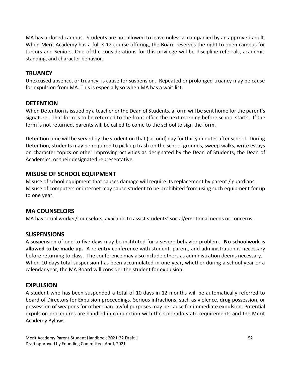MA has a closed campus. Students are not allowed to leave unless accompanied by an approved adult. When Merit Academy has a full K-12 course offering, the Board reserves the right to open campus for Juniors and Seniors. One of the considerations for this privilege will be discipline referrals, academic standing, and character behavior.

#### **TRUANCY**

Unexcused absence, or truancy, is cause for suspension. Repeated or prolonged truancy may be cause for expulsion from MA. This is especially so when MA has a wait list.

#### **DETENTION**

When Detention is issued by a teacher or the Dean of Students, a form will be sent home for the parent's signature. That form is to be returned to the front office the next morning before school starts. If the form is not returned, parents will be called to come to the school to sign the form.

Detention time will be served by the student on that (second) day for thirty minutes after school. During Detention, students may be required to pick up trash on the school grounds, sweep walks, write essays on character topics or other improving activities as designated by the Dean of Students, the Dean of Academics, or their designated representative.

#### **MISUSE OF SCHOOL EQUIPMENT**

Misuse of school equipment that causes damage will require its replacement by parent / guardians. Misuse of computers or internet may cause student to be prohibited from using such equipment for up to one year.

#### **MA COUNSELORS**

MA has social worker/counselors, available to assist students' social/emotional needs or concerns.

#### **SUSPENSIONS**

A suspension of one to five days may be instituted for a severe behavior problem. **No schoolwork is allowed to be made up.** A re-entry conference with student, parent, and administration is necessary before returning to class. The conference may also include others as administration deems necessary. When 10 days total suspension has been accumulated in one year, whether during a school year or a calendar year, the MA Board will consider the student for expulsion.

#### **EXPULSION**

A student who has been suspended a total of 10 days in 12 months will be automatically referred to board of Directors for Expulsion proceedings. Serious infractions, such as violence, drug possession, or possession of weapons for other than lawful purposes may be cause for immediate expulsion. Potential expulsion procedures are handled in conjunction with the Colorado state requirements and the Merit Academy Bylaws.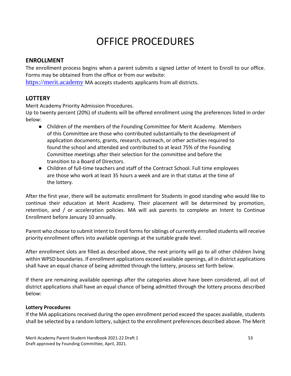# OFFICE PROCEDURES

#### **ENROLLMENT**

The enrollment process begins when a parent submits a signed Letter of Intent to Enroll to our office. Forms may be obtained from the office or from our website:

https://merit.academy MA accepts students applicants from all districts.

#### **LOTTERY**

Merit Academy Priority Admission Procedures.

Up to twenty percent (20%) of students will be offered enrollment using the preferences listed in order below:

- Children of the members of the Founding Committee for Merit Academy. Members of this Committee are those who contributed substantially to the development of application documents, grants, research, outreach, or other activities required to found the school and attended and contributed to at least 75% of the Founding Committee meetings after their selection for the committee and before the transition to a Board of Directors.
- Children of full-time teachers and staff of the Contract School. Full time employees are those who work at least 35 hours a week and are in that status at the time of the lottery.

After the first year, there will be automatic enrollment for Students in good standing who would like to continue their education at Merit Academy. Their placement will be determined by promotion, retention, and / or acceleration policies. MA will ask parents to complete an Intent to Continue Enrollment before January 10 annually.

Parent who choose to submit Intent to Enroll forms for siblings of currently enrolled students will receive priority enrollment offers into available openings at the suitable grade level.

After enrollment slots are filled as described above, the next priority will go to all other children living within WPSD boundaries. If enrollment applications exceed available openings, all in district applications shall have an equal chance of being admitted through the lottery, process set forth below.

If there are remaining available openings after the categories above have been considered, all out of district applications shall have an equal chance of being admitted through the lottery process described below:

#### **Lottery Procedures**

If the MA applications received during the open enrollment period exceed the spaces available, students shall be selected by a random lottery, subject to the enrollment preferences described above. The Merit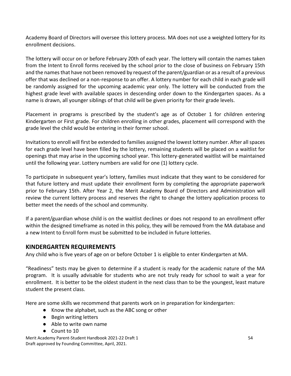Academy Board of Directors will oversee this lottery process. MA does not use a weighted lottery for its enrollment decisions.

The lottery will occur on or before February 20th of each year. The lottery will contain the names taken from the Intent to Enroll forms received by the school prior to the close of business on February 15th and the names that have not been removed by request of the parent/guardian or as a result of a previous offer that was declined or a non-response to an offer. A lottery number for each child in each grade will be randomly assigned for the upcoming academic year only. The lottery will be conducted from the highest grade level with available spaces in descending order down to the Kindergarten spaces. As a name is drawn, all younger siblings of that child will be given priority for their grade levels.

Placement in programs is prescribed by the student's age as of October 1 for children entering Kindergarten or First grade. For children enrolling in other grades, placement will correspond with the grade level the child would be entering in their former school.

Invitations to enroll will first be extended to families assigned the lowest lottery number. After all spaces for each grade level have been filled by the lottery, remaining students will be placed on a waitlist for openings that may arise in the upcoming school year. This lottery-generated waitlist will be maintained until the following year. Lottery numbers are valid for one (1) lottery cycle.

To participate in subsequent year's lottery, families must indicate that they want to be considered for that future lottery and must update their enrollment form by completing the appropriate paperwork prior to February 15th. After Year 2, the Merit Academy Board of Directors and Administration will review the current lottery process and reserves the right to change the lottery application process to better meet the needs of the school and community.

If a parent/guardian whose child is on the waitlist declines or does not respond to an enrollment offer within the designed timeframe as noted in this policy, they will be removed from the MA database and a new Intent to Enroll form must be submitted to be included in future lotteries.

#### **KINDERGARTEN REQUIREMENTS**

Any child who is five years of age on or before October 1 is eligible to enter Kindergarten at MA.

"Readiness" tests may be given to determine if a student is ready for the academic nature of the MA program. It is usually advisable for students who are not truly ready for school to wait a year for enrollment. It is better to be the oldest student in the next class than to be the youngest, least mature student the present class.

Here are some skills we recommend that parents work on in preparation for kindergarten:

- Know the alphabet, such as the ABC song or other
- Begin writing letters
- Able to write own name
- Count to 10

Merit Academy Parent-Student Handbook 2021-22 Draft 1 54 September 2021-23 Draft 1 Draft approved by Founding Committee, April, 2021.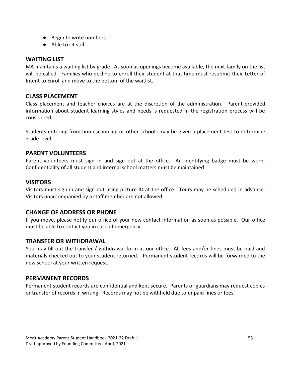- Begin to write numbers
- Able to sit still

#### **WAITING LIST**

MA maintains a waiting list by grade. As soon as openings become available, the next family on the list will be called. Families who decline to enroll their student at that time must resubmit their Letter of Intent to Enroll and move to the bottom of the waitlist.

#### **CLASS PLACEMENT**

Class placement and teacher choices are at the discretion of the administration. Parent-provided information about student learning styles and needs is requested in the registration process will be considered.

Students entering from homeschooling or other schools may be given a placement test to determine grade level.

#### **PARENT VOLUNTEERS**

Parent volunteers must sign in and sign out at the office. An identifying badge must be worn. Confidentiality of all student and internal school matters must be maintained.

#### **VISITORS**

Visitors must sign in and sign out using picture ID at the office. Tours may be scheduled in advance. Visitors unaccompanied by a staff member are not allowed.

#### **CHANGE OF ADDRESS OR PHONE**

If you move, please notify our office of your new contact information as soon as possible. Our office must be able to contact you in case of emergency.

#### **TRANSFER OR WITHDRAWAL**

You may fill out the transfer / withdrawal form at our office. All fees and/or fines must be paid and materials checked out to your student returned. Permanent student records will be forwarded to the new school at your written request.

#### **PERMANENT RECORDS**

Permanent student records are confidential and kept secure. Parents or guardians may request copies or transfer of records in writing. Records may not be withheld due to unpaid fines or fees.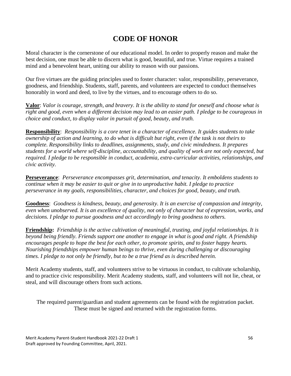### **CODE OF HONOR**

Moral character is the cornerstone of our educational model. In order to properly reason and make the best decision, one must be able to discern what is good, beautiful, and true. Virtue requires a trained mind and a benevolent heart, uniting our ability to reason with our passions.

Our five virtues are the guiding principles used to foster character: valor, responsibility, perseverance, goodness, and friendship. Students, staff, parents, and volunteers are expected to conduct themselves honorably in word and deed, to live by the virtues, and to encourage others to do so.

**Valor**: *Valor is courage, strength, and bravery. It is the ability to stand for oneself and choose what is right and good, even when a different decision may lead to an easier path. I pledge to be courageous in choice and conduct, to display valor in pursuit of good, beauty, and truth.*

**Responsibility**: *Responsibility is a core tenet in a character of excellence. It guides students to take ownership of action and learning, to do what is difficult but right, even if the task is not theirs to complete. Responsibility links to deadlines, assignments, study, and civic mindedness. It prepares students for a world where self-discipline, accountability, and quality of work are not only expected, but required. I pledge to be responsible in conduct, academia, extra-curricular activities, relationships, and civic activity.*

**Perseverance**: *Perseverance encompasses grit, determination, and tenacity. It emboldens students to continue when it may be easier to quit or give in to unproductive habit. I pledge to practice perseverance in my goals, responsibilities, character, and choices for good, beauty, and truth.* 

**Goodness**: *Goodness is kindness, beauty, and generosity. It is an exercise of compassion and integrity, even when unobserved. It is an excellence of quality, not only of character but of expression, works, and decisions. I pledge to pursue goodness and act accordingly to bring goodness to others.* 

**Friendship:** *Friendship is the active cultivation of meaningful, trusting, and joyful relationships. It is beyond being friendly. Friends support one another to engage in what is good and right. A friendship encourages people to hope the best for each other, to promote spirits, and to foster happy hearts. Nourishing friendships empower human beings to thrive, even during challenging or discouraging times. I pledge to not only be friendly, but to be a true friend as is described herein.*

Merit Academy students, staff, and volunteers strive to be virtuous in conduct, to cultivate scholarship, and to practice civic responsibility. Merit Academy students, staff, and volunteers will not lie, cheat, or steal, and will discourage others from such actions.

The required parent/guardian and student agreements can be found with the registration packet. These must be signed and returned with the registration forms.